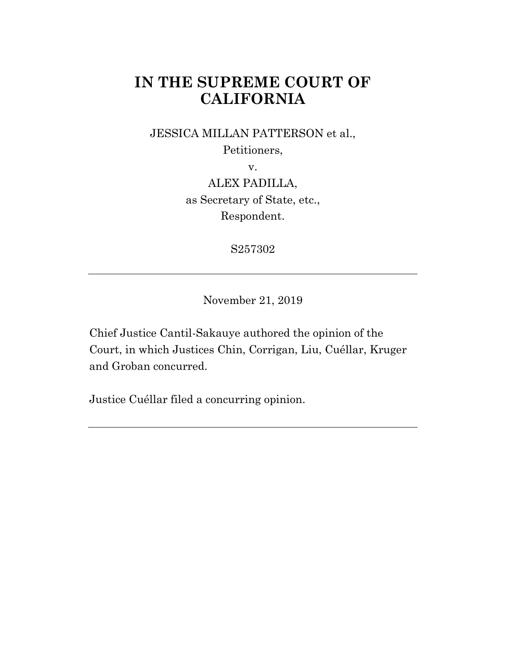# **IN THE SUPREME COURT OF CALIFORNIA**

JESSICA MILLAN PATTERSON et al.,

Petitioners,

v.

ALEX PADILLA, as Secretary of State, etc., Respondent.

S257302

November 21, 2019

Chief Justice Cantil-Sakauye authored the opinion of the Court, in which Justices Chin, Corrigan, Liu, Cuéllar, Kruger and Groban concurred.

Justice Cuéllar filed a concurring opinion.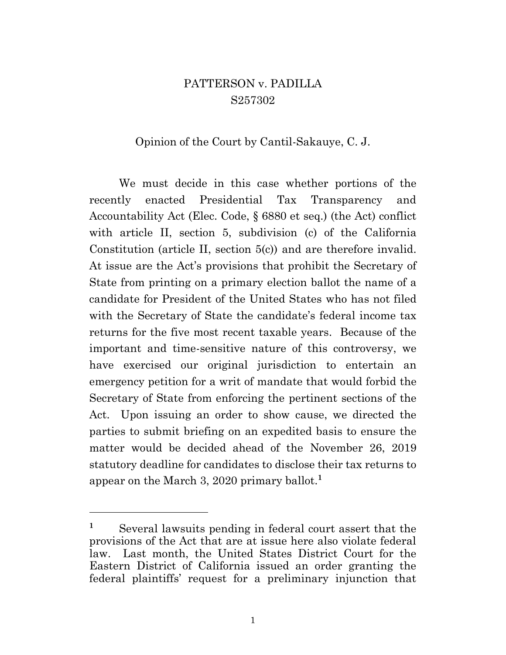### PATTERSON v. PADILLA S257302

### Opinion of the Court by Cantil-Sakauye, C. J.

We must decide in this case whether portions of the recently enacted Presidential Tax Transparency and Accountability Act (Elec. Code, § 6880 et seq.) (the Act) conflict with article II, section 5, subdivision (c) of the California Constitution (article II, section 5(c)) and are therefore invalid. At issue are the Act's provisions that prohibit the Secretary of State from printing on a primary election ballot the name of a candidate for President of the United States who has not filed with the Secretary of State the candidate's federal income tax returns for the five most recent taxable years. Because of the important and time-sensitive nature of this controversy, we have exercised our original jurisdiction to entertain an emergency petition for a writ of mandate that would forbid the Secretary of State from enforcing the pertinent sections of the Act. Upon issuing an order to show cause, we directed the parties to submit briefing on an expedited basis to ensure the matter would be decided ahead of the November 26, 2019 statutory deadline for candidates to disclose their tax returns to appear on the March 3, 2020 primary ballot. **1**

<sup>&</sup>lt;sup>1</sup> Several lawsuits pending in federal court assert that the provisions of the Act that are at issue here also violate federal law. Last month, the United States District Court for the Eastern District of California issued an order granting the federal plaintiffs' request for a preliminary injunction that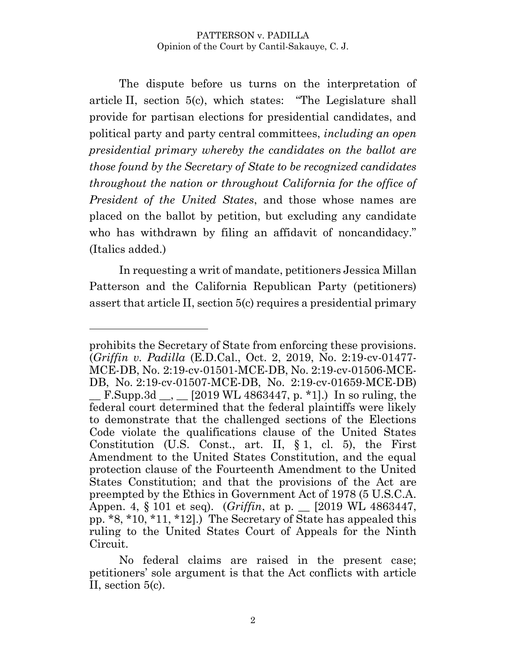The dispute before us turns on the interpretation of article II, section 5(c), which states: "The Legislature shall provide for partisan elections for presidential candidates, and political party and party central committees, *including an open presidential primary whereby the candidates on the ballot are those found by the Secretary of State to be recognized candidates throughout the nation or throughout California for the office of President of the United States*, and those whose names are placed on the ballot by petition, but excluding any candidate who has withdrawn by filing an affidavit of noncandidacy." (Italics added.)

In requesting a writ of mandate, petitioners Jessica Millan Patterson and the California Republican Party (petitioners) assert that article II, section 5(c) requires a presidential primary

prohibits the Secretary of State from enforcing these provisions. (*Griffin v. Padilla* (E.D.Cal., Oct. 2, 2019, No. 2:19-cv-01477- MCE-DB, No. 2:19-cv-01501-MCE-DB, No. 2:19-cv-01506-MCE-DB, No. 2:19-cv-01507-MCE-DB, No. 2:19-cv-01659-MCE-DB)  $\_$  F.Supp.3d  $\_$ ,  $\_$  [2019 WL 4863447, p. \*1].) In so ruling, the federal court determined that the federal plaintiffs were likely to demonstrate that the challenged sections of the Elections Code violate the qualifications clause of the United States Constitution (U.S. Const., art. II, § 1, cl. 5), the First Amendment to the United States Constitution, and the equal protection clause of the Fourteenth Amendment to the United States Constitution; and that the provisions of the Act are preempted by the Ethics in Government Act of 1978 (5 U.S.C.A. Appen. 4, § 101 et seq). (*Griffin*, at p. \_\_ [2019 WL 4863447, pp. \*8, \*10, \*11, \*12].) The Secretary of State has appealed this ruling to the United States Court of Appeals for the Ninth Circuit.

No federal claims are raised in the present case; petitioners' sole argument is that the Act conflicts with article II, section 5(c).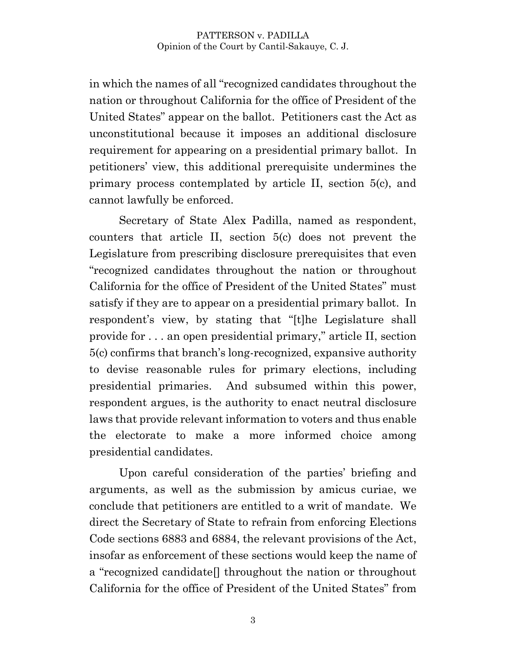in which the names of all "recognized candidates throughout the nation or throughout California for the office of President of the United States" appear on the ballot. Petitioners cast the Act as unconstitutional because it imposes an additional disclosure requirement for appearing on a presidential primary ballot. In petitioners' view, this additional prerequisite undermines the primary process contemplated by article II, section 5(c), and cannot lawfully be enforced.

Secretary of State Alex Padilla, named as respondent, counters that article II, section 5(c) does not prevent the Legislature from prescribing disclosure prerequisites that even "recognized candidates throughout the nation or throughout California for the office of President of the United States" must satisfy if they are to appear on a presidential primary ballot. In respondent's view, by stating that "[t]he Legislature shall provide for . . . an open presidential primary," article II, section 5(c) confirms that branch's long-recognized, expansive authority to devise reasonable rules for primary elections, including presidential primaries. And subsumed within this power, respondent argues, is the authority to enact neutral disclosure laws that provide relevant information to voters and thus enable the electorate to make a more informed choice among presidential candidates.

Upon careful consideration of the parties' briefing and arguments, as well as the submission by amicus curiae, we conclude that petitioners are entitled to a writ of mandate. We direct the Secretary of State to refrain from enforcing Elections Code sections 6883 and 6884, the relevant provisions of the Act, insofar as enforcement of these sections would keep the name of a "recognized candidate[] throughout the nation or throughout California for the office of President of the United States" from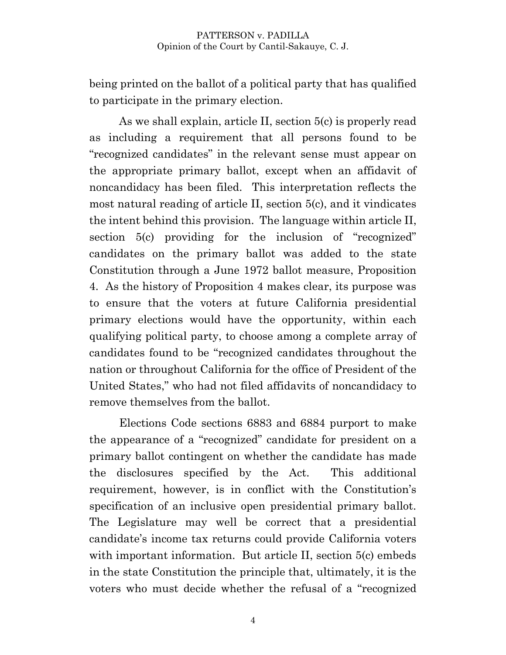being printed on the ballot of a political party that has qualified to participate in the primary election.

As we shall explain, article II, section 5(c) is properly read as including a requirement that all persons found to be "recognized candidates" in the relevant sense must appear on the appropriate primary ballot, except when an affidavit of noncandidacy has been filed. This interpretation reflects the most natural reading of article II, section 5(c), and it vindicates the intent behind this provision. The language within article II, section 5(c) providing for the inclusion of "recognized" candidates on the primary ballot was added to the state Constitution through a June 1972 ballot measure, Proposition 4. As the history of Proposition 4 makes clear, its purpose was to ensure that the voters at future California presidential primary elections would have the opportunity, within each qualifying political party, to choose among a complete array of candidates found to be "recognized candidates throughout the nation or throughout California for the office of President of the United States," who had not filed affidavits of noncandidacy to remove themselves from the ballot.

Elections Code sections 6883 and 6884 purport to make the appearance of a "recognized" candidate for president on a primary ballot contingent on whether the candidate has made the disclosures specified by the Act. This additional requirement, however, is in conflict with the Constitution's specification of an inclusive open presidential primary ballot. The Legislature may well be correct that a presidential candidate's income tax returns could provide California voters with important information. But article II, section 5(c) embeds in the state Constitution the principle that, ultimately, it is the voters who must decide whether the refusal of a "recognized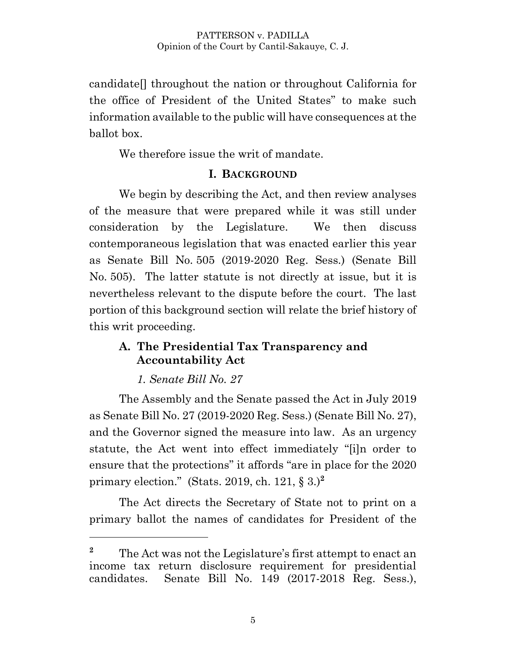candidate[] throughout the nation or throughout California for the office of President of the United States" to make such information available to the public will have consequences at the ballot box.

We therefore issue the writ of mandate.

### **I. BACKGROUND**

We begin by describing the Act, and then review analyses of the measure that were prepared while it was still under consideration by the Legislature. We then discuss contemporaneous legislation that was enacted earlier this year as Senate Bill No. 505 (2019-2020 Reg. Sess.) (Senate Bill No. 505). The latter statute is not directly at issue, but it is nevertheless relevant to the dispute before the court. The last portion of this background section will relate the brief history of this writ proceeding.

### **A. The Presidential Tax Transparency and Accountability Act**

### *1. Senate Bill No. 27*

 $\overline{a}$ 

The Assembly and the Senate passed the Act in July 2019 as Senate Bill No. 27 (2019-2020 Reg. Sess.) (Senate Bill No. 27), and the Governor signed the measure into law. As an urgency statute, the Act went into effect immediately "[i]n order to ensure that the protections" it affords "are in place for the 2020 primary election." (Stats. 2019, ch. 121, § 3.)**<sup>2</sup>**

The Act directs the Secretary of State not to print on a primary ballot the names of candidates for President of the

<sup>&</sup>lt;sup>2</sup> The Act was not the Legislature's first attempt to enact an income tax return disclosure requirement for presidential candidates. Senate Bill No. 149 (2017-2018 Reg. Sess.),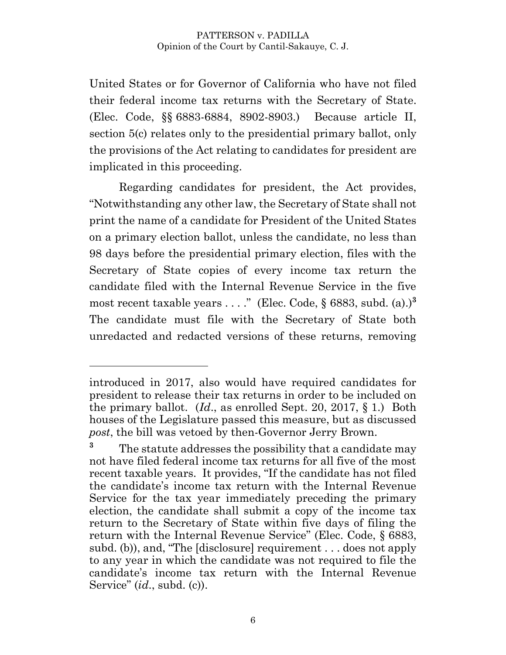United States or for Governor of California who have not filed their federal income tax returns with the Secretary of State. (Elec. Code, §§ 6883-6884, 8902-8903.) Because article II, section 5(c) relates only to the presidential primary ballot, only the provisions of the Act relating to candidates for president are implicated in this proceeding.

Regarding candidates for president, the Act provides, "Notwithstanding any other law, the Secretary of State shall not print the name of a candidate for President of the United States on a primary election ballot, unless the candidate, no less than 98 days before the presidential primary election, files with the Secretary of State copies of every income tax return the candidate filed with the Internal Revenue Service in the five most recent taxable years  $\dots$ ." (Elec. Code, § 6883, subd. (a).)<sup>3</sup> The candidate must file with the Secretary of State both unredacted and redacted versions of these returns, removing

introduced in 2017, also would have required candidates for president to release their tax returns in order to be included on the primary ballot. (*Id*., as enrolled Sept. 20, 2017, § 1.) Both houses of the Legislature passed this measure, but as discussed *post*, the bill was vetoed by then-Governor Jerry Brown.

**<sup>3</sup>** The statute addresses the possibility that a candidate may not have filed federal income tax returns for all five of the most recent taxable years. It provides, "If the candidate has not filed the candidate's income tax return with the Internal Revenue Service for the tax year immediately preceding the primary election, the candidate shall submit a copy of the income tax return to the Secretary of State within five days of filing the return with the Internal Revenue Service" (Elec. Code, § 6883, subd. (b)), and, "The [disclosure] requirement . . . does not apply to any year in which the candidate was not required to file the candidate's income tax return with the Internal Revenue Service" (*id*., subd. (c)).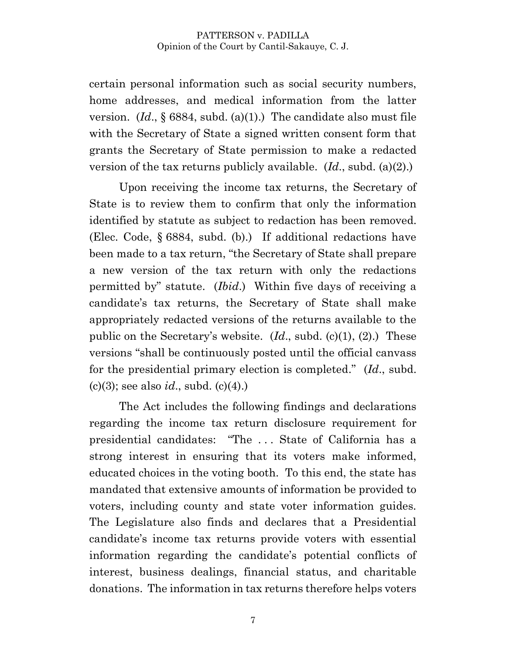certain personal information such as social security numbers, home addresses, and medical information from the latter version. (*Id*., § 6884, subd. (a)(1).) The candidate also must file with the Secretary of State a signed written consent form that grants the Secretary of State permission to make a redacted version of the tax returns publicly available. (*Id*., subd. (a)(2).)

Upon receiving the income tax returns, the Secretary of State is to review them to confirm that only the information identified by statute as subject to redaction has been removed. (Elec. Code, § 6884, subd. (b).) If additional redactions have been made to a tax return, "the Secretary of State shall prepare a new version of the tax return with only the redactions permitted by" statute. (*Ibid*.) Within five days of receiving a candidate's tax returns, the Secretary of State shall make appropriately redacted versions of the returns available to the public on the Secretary's website. (*Id*., subd. (c)(1), (2).) These versions "shall be continuously posted until the official canvass for the presidential primary election is completed." (*Id*., subd. (c)(3); see also *id*., subd. (c)(4).)

The Act includes the following findings and declarations regarding the income tax return disclosure requirement for presidential candidates: "The . . . State of California has a strong interest in ensuring that its voters make informed, educated choices in the voting booth. To this end, the state has mandated that extensive amounts of information be provided to voters, including county and state voter information guides. The Legislature also finds and declares that a Presidential candidate's income tax returns provide voters with essential information regarding the candidate's potential conflicts of interest, business dealings, financial status, and charitable donations. The information in tax returns therefore helps voters

7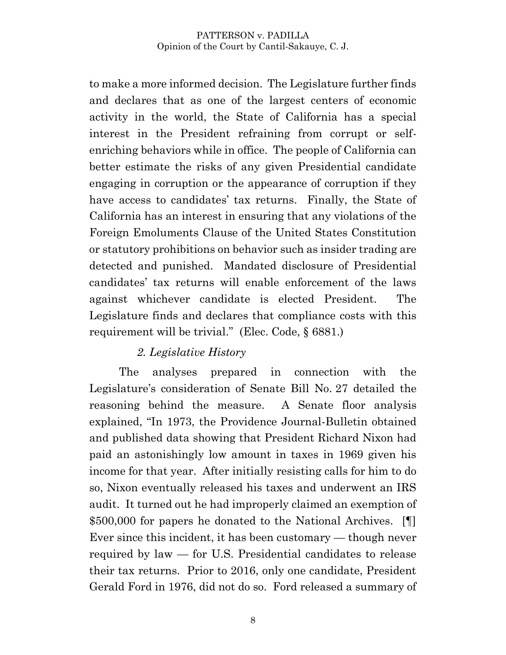to make a more informed decision. The Legislature further finds and declares that as one of the largest centers of economic activity in the world, the State of California has a special interest in the President refraining from corrupt or selfenriching behaviors while in office. The people of California can better estimate the risks of any given Presidential candidate engaging in corruption or the appearance of corruption if they have access to candidates' tax returns. Finally, the State of California has an interest in ensuring that any violations of the Foreign Emoluments Clause of the United States Constitution or statutory prohibitions on behavior such as insider trading are detected and punished. Mandated disclosure of Presidential candidates' tax returns will enable enforcement of the laws against whichever candidate is elected President. The Legislature finds and declares that compliance costs with this requirement will be trivial." (Elec. Code, § 6881.)

### *2. Legislative History*

The analyses prepared in connection with the Legislature's consideration of Senate Bill No. 27 detailed the reasoning behind the measure. A Senate floor analysis explained, "In 1973, the Providence Journal-Bulletin obtained and published data showing that President Richard Nixon had paid an astonishingly low amount in taxes in 1969 given his income for that year. After initially resisting calls for him to do so, Nixon eventually released his taxes and underwent an IRS audit. It turned out he had improperly claimed an exemption of \$500,000 for papers he donated to the National Archives. [1] Ever since this incident, it has been customary — though never required by law — for U.S. Presidential candidates to release their tax returns. Prior to 2016, only one candidate, President Gerald Ford in 1976, did not do so. Ford released a summary of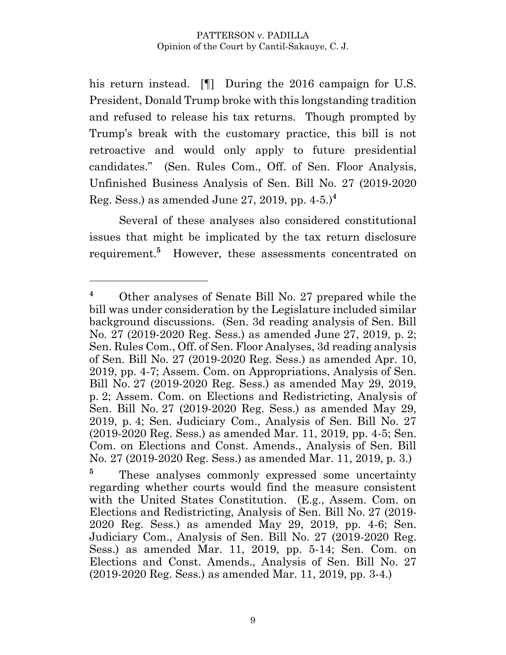his return instead. [I] During the 2016 campaign for U.S. President, Donald Trump broke with this longstanding tradition and refused to release his tax returns. Though prompted by Trump's break with the customary practice, this bill is not retroactive and would only apply to future presidential candidates." (Sen. Rules Com., Off. of Sen. Floor Analysis, Unfinished Business Analysis of Sen. Bill No. 27 (2019-2020 Reg. Sess.) as amended June 27, 2019, pp. 4-5.)**<sup>4</sup>**

Several of these analyses also considered constitutional issues that might be implicated by the tax return disclosure requirement.**<sup>5</sup>** However, these assessments concentrated on

**<sup>4</sup>** Other analyses of Senate Bill No. 27 prepared while the bill was under consideration by the Legislature included similar background discussions. (Sen. 3d reading analysis of Sen. Bill No. 27 (2019-2020 Reg. Sess.) as amended June 27, 2019, p. 2; Sen. Rules Com., Off. of Sen. Floor Analyses, 3d reading analysis of Sen. Bill No. 27 (2019-2020 Reg. Sess.) as amended Apr. 10, 2019, pp. 4-7; Assem. Com. on Appropriations, Analysis of Sen. Bill No. 27 (2019-2020 Reg. Sess.) as amended May 29, 2019, p. 2; Assem. Com. on Elections and Redistricting, Analysis of Sen. Bill No. 27 (2019-2020 Reg. Sess.) as amended May 29, 2019, p. 4; Sen. Judiciary Com., Analysis of Sen. Bill No. 27 (2019-2020 Reg. Sess.) as amended Mar. 11, 2019, pp. 4-5; Sen. Com. on Elections and Const. Amends., Analysis of Sen. Bill No. 27 (2019-2020 Reg. Sess.) as amended Mar. 11, 2019, p. 3.)

<sup>&</sup>lt;sup>5</sup> These analyses commonly expressed some uncertainty regarding whether courts would find the measure consistent with the United States Constitution. (E.g., Assem. Com. on Elections and Redistricting, Analysis of Sen. Bill No. 27 (2019- 2020 Reg. Sess.) as amended May 29, 2019, pp. 4-6; Sen. Judiciary Com., Analysis of Sen. Bill No. 27 (2019-2020 Reg. Sess.) as amended Mar. 11, 2019, pp. 5-14; Sen. Com. on Elections and Const. Amends., Analysis of Sen. Bill No. 27 (2019-2020 Reg. Sess.) as amended Mar. 11, 2019, pp. 3-4.)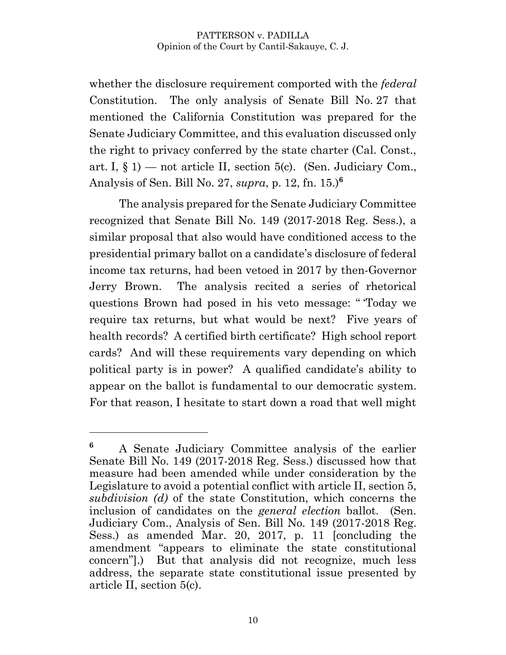whether the disclosure requirement comported with the *federal* Constitution. The only analysis of Senate Bill No. 27 that mentioned the California Constitution was prepared for the Senate Judiciary Committee, and this evaluation discussed only the right to privacy conferred by the state charter (Cal. Const., art. I,  $\S$  1) — not article II, section 5(c). (Sen. Judiciary Com., Analysis of Sen. Bill No. 27, *supra*, p. 12, fn. 15.)**<sup>6</sup>**

The analysis prepared for the Senate Judiciary Committee recognized that Senate Bill No. 149 (2017-2018 Reg. Sess.), a similar proposal that also would have conditioned access to the presidential primary ballot on a candidate's disclosure of federal income tax returns, had been vetoed in 2017 by then-Governor Jerry Brown. The analysis recited a series of rhetorical questions Brown had posed in his veto message: " 'Today we require tax returns, but what would be next? Five years of health records? A certified birth certificate? High school report cards? And will these requirements vary depending on which political party is in power? A qualified candidate's ability to appear on the ballot is fundamental to our democratic system. For that reason, I hesitate to start down a road that well might

**<sup>6</sup>** A Senate Judiciary Committee analysis of the earlier Senate Bill No. 149 (2017-2018 Reg. Sess.) discussed how that measure had been amended while under consideration by the Legislature to avoid a potential conflict with article II, section 5, *subdivision (d)* of the state Constitution, which concerns the inclusion of candidates on the *general election* ballot. (Sen. Judiciary Com., Analysis of Sen. Bill No. 149 (2017-2018 Reg. Sess.) as amended Mar. 20, 2017, p. 11 [concluding the amendment "appears to eliminate the state constitutional concern"].) But that analysis did not recognize, much less address, the separate state constitutional issue presented by article II, section 5(c).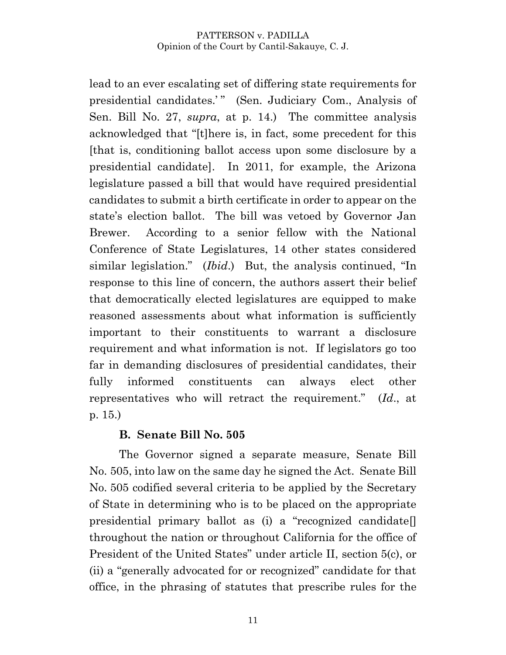lead to an ever escalating set of differing state requirements for presidential candidates.'" (Sen. Judiciary Com., Analysis of Sen. Bill No. 27, *supra*, at p. 14.) The committee analysis acknowledged that "[t]here is, in fact, some precedent for this [that is, conditioning ballot access upon some disclosure by a presidential candidate]. In 2011, for example, the Arizona legislature passed a bill that would have required presidential candidates to submit a birth certificate in order to appear on the state's election ballot. The bill was vetoed by Governor Jan Brewer. According to a senior fellow with the National Conference of State Legislatures, 14 other states considered similar legislation." (*Ibid*.) But, the analysis continued, "In response to this line of concern, the authors assert their belief that democratically elected legislatures are equipped to make reasoned assessments about what information is sufficiently important to their constituents to warrant a disclosure requirement and what information is not. If legislators go too far in demanding disclosures of presidential candidates, their fully informed constituents can always elect other representatives who will retract the requirement." (*Id*., at p. 15.)

### **B. Senate Bill No. 505**

The Governor signed a separate measure, Senate Bill No. 505, into law on the same day he signed the Act. Senate Bill No. 505 codified several criteria to be applied by the Secretary of State in determining who is to be placed on the appropriate presidential primary ballot as (i) a "recognized candidate[] throughout the nation or throughout California for the office of President of the United States" under article II, section 5(c), or (ii) a "generally advocated for or recognized" candidate for that office, in the phrasing of statutes that prescribe rules for the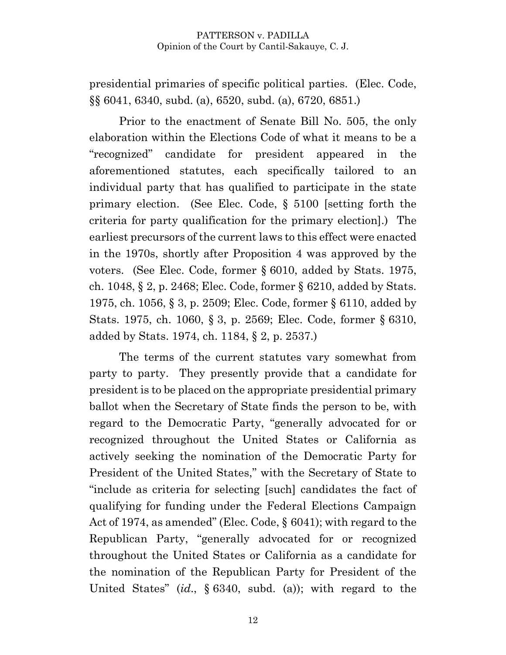presidential primaries of specific political parties. (Elec. Code, §§ 6041, 6340, subd. (a), 6520, subd. (a), 6720, 6851.)

Prior to the enactment of Senate Bill No. 505, the only elaboration within the Elections Code of what it means to be a "recognized" candidate for president appeared in the aforementioned statutes, each specifically tailored to an individual party that has qualified to participate in the state primary election. (See Elec. Code, § 5100 [setting forth the criteria for party qualification for the primary election].) The earliest precursors of the current laws to this effect were enacted in the 1970s, shortly after Proposition 4 was approved by the voters. (See Elec. Code, former § 6010, added by Stats. 1975, ch. 1048, § 2, p. 2468; Elec. Code, former § 6210, added by Stats. 1975, ch. 1056, § 3, p. 2509; Elec. Code, former § 6110, added by Stats. 1975, ch. 1060, § 3, p. 2569; Elec. Code, former § 6310, added by Stats. 1974, ch. 1184, § 2, p. 2537.)

The terms of the current statutes vary somewhat from party to party. They presently provide that a candidate for president is to be placed on the appropriate presidential primary ballot when the Secretary of State finds the person to be, with regard to the Democratic Party, "generally advocated for or recognized throughout the United States or California as actively seeking the nomination of the Democratic Party for President of the United States," with the Secretary of State to "include as criteria for selecting [such] candidates the fact of qualifying for funding under the Federal Elections Campaign Act of 1974, as amended" (Elec. Code, § 6041); with regard to the Republican Party, "generally advocated for or recognized throughout the United States or California as a candidate for the nomination of the Republican Party for President of the United States" (*id*., § 6340, subd. (a)); with regard to the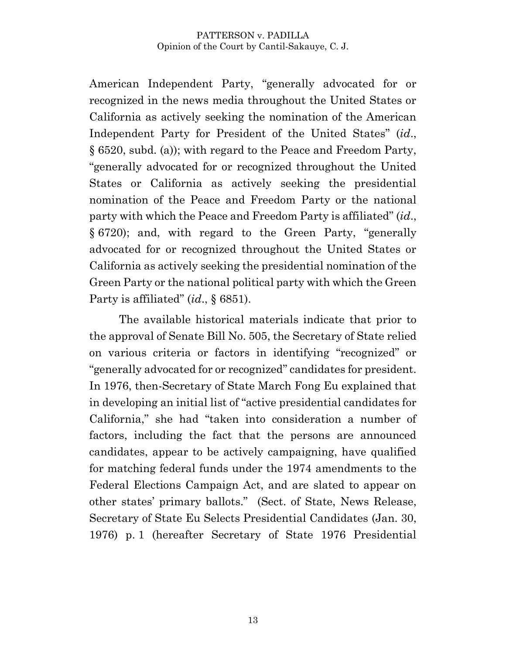American Independent Party, "generally advocated for or recognized in the news media throughout the United States or California as actively seeking the nomination of the American Independent Party for President of the United States" (*id*., § 6520, subd. (a)); with regard to the Peace and Freedom Party, "generally advocated for or recognized throughout the United States or California as actively seeking the presidential nomination of the Peace and Freedom Party or the national party with which the Peace and Freedom Party is affiliated" (*id*., § 6720); and, with regard to the Green Party, "generally advocated for or recognized throughout the United States or California as actively seeking the presidential nomination of the Green Party or the national political party with which the Green Party is affiliated" (*id*., § 6851).

The available historical materials indicate that prior to the approval of Senate Bill No. 505, the Secretary of State relied on various criteria or factors in identifying "recognized" or "generally advocated for or recognized" candidates for president. In 1976, then-Secretary of State March Fong Eu explained that in developing an initial list of "active presidential candidates for California," she had "taken into consideration a number of factors, including the fact that the persons are announced candidates, appear to be actively campaigning, have qualified for matching federal funds under the 1974 amendments to the Federal Elections Campaign Act, and are slated to appear on other states' primary ballots." (Sect. of State, News Release, Secretary of State Eu Selects Presidential Candidates (Jan. 30, 1976) p. 1 (hereafter Secretary of State 1976 Presidential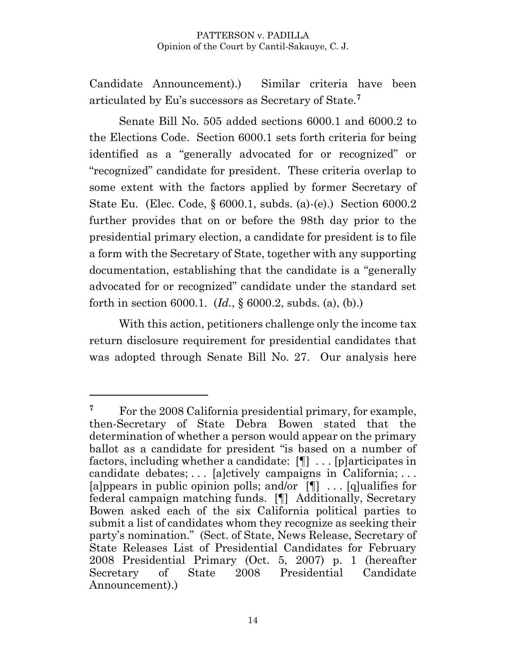Candidate Announcement).) Similar criteria have been articulated by Eu's successors as Secretary of State.**<sup>7</sup>**

Senate Bill No. 505 added sections 6000.1 and 6000.2 to the Elections Code. Section 6000.1 sets forth criteria for being identified as a "generally advocated for or recognized" or "recognized" candidate for president. These criteria overlap to some extent with the factors applied by former Secretary of State Eu. (Elec. Code, § 6000.1, subds. (a)-(e).) Section 6000.2 further provides that on or before the 98th day prior to the presidential primary election, a candidate for president is to file a form with the Secretary of State, together with any supporting documentation, establishing that the candidate is a "generally advocated for or recognized" candidate under the standard set forth in section 6000.1. (*Id.*, § 6000.2, subds. (a), (b).)

With this action, petitioners challenge only the income tax return disclosure requirement for presidential candidates that was adopted through Senate Bill No. 27. Our analysis here

<sup>&</sup>lt;sup>7</sup> For the 2008 California presidential primary, for example, then-Secretary of State Debra Bowen stated that the determination of whether a person would appear on the primary ballot as a candidate for president "is based on a number of factors, including whether a candidate: [¶] . . . [p]articipates in candidate debates; . . . [a]ctively campaigns in California; . . . [a]ppears in public opinion polls; and/or [¶] . . . [q]ualifies for federal campaign matching funds. [¶] Additionally, Secretary Bowen asked each of the six California political parties to submit a list of candidates whom they recognize as seeking their party's nomination." (Sect. of State, News Release, Secretary of State Releases List of Presidential Candidates for February 2008 Presidential Primary (Oct. 5, 2007) p. 1 (hereafter Secretary of State 2008 Presidential Candidate Announcement).)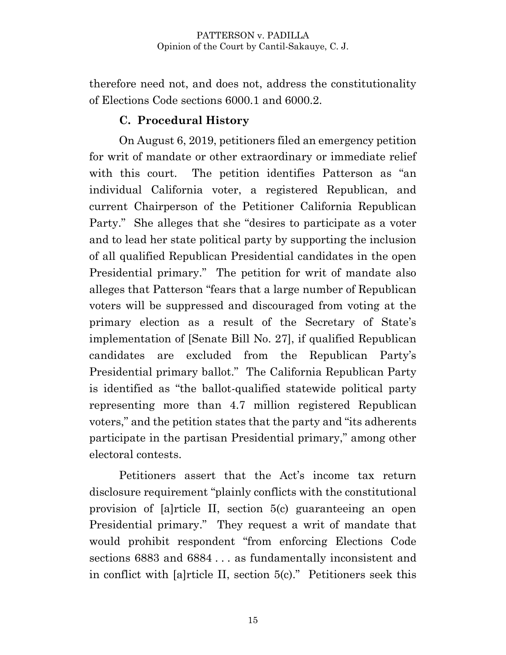therefore need not, and does not, address the constitutionality of Elections Code sections 6000.1 and 6000.2.

### **C. Procedural History**

On August 6, 2019, petitioners filed an emergency petition for writ of mandate or other extraordinary or immediate relief with this court. The petition identifies Patterson as "an individual California voter, a registered Republican, and current Chairperson of the Petitioner California Republican Party." She alleges that she "desires to participate as a voter and to lead her state political party by supporting the inclusion of all qualified Republican Presidential candidates in the open Presidential primary." The petition for writ of mandate also alleges that Patterson "fears that a large number of Republican voters will be suppressed and discouraged from voting at the primary election as a result of the Secretary of State's implementation of [Senate Bill No. 27], if qualified Republican candidates are excluded from the Republican Party's Presidential primary ballot." The California Republican Party is identified as "the ballot-qualified statewide political party representing more than 4.7 million registered Republican voters," and the petition states that the party and "its adherents participate in the partisan Presidential primary," among other electoral contests.

Petitioners assert that the Act's income tax return disclosure requirement "plainly conflicts with the constitutional provision of [a]rticle II, section 5(c) guaranteeing an open Presidential primary." They request a writ of mandate that would prohibit respondent "from enforcing Elections Code sections 6883 and 6884 . . . as fundamentally inconsistent and in conflict with [a]rticle II, section 5(c)." Petitioners seek this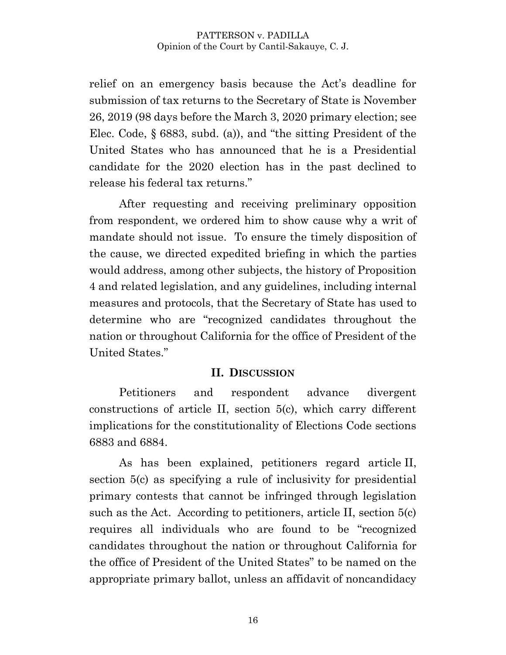relief on an emergency basis because the Act's deadline for submission of tax returns to the Secretary of State is November 26, 2019 (98 days before the March 3, 2020 primary election; see Elec. Code, § 6883, subd. (a)), and "the sitting President of the United States who has announced that he is a Presidential candidate for the 2020 election has in the past declined to release his federal tax returns."

After requesting and receiving preliminary opposition from respondent, we ordered him to show cause why a writ of mandate should not issue. To ensure the timely disposition of the cause, we directed expedited briefing in which the parties would address, among other subjects, the history of Proposition 4 and related legislation, and any guidelines, including internal measures and protocols, that the Secretary of State has used to determine who are "recognized candidates throughout the nation or throughout California for the office of President of the United States."

### **II. DISCUSSION**

Petitioners and respondent advance divergent constructions of article II, section 5(c), which carry different implications for the constitutionality of Elections Code sections 6883 and 6884.

As has been explained, petitioners regard article II, section 5(c) as specifying a rule of inclusivity for presidential primary contests that cannot be infringed through legislation such as the Act. According to petitioners, article II, section 5(c) requires all individuals who are found to be "recognized candidates throughout the nation or throughout California for the office of President of the United States" to be named on the appropriate primary ballot, unless an affidavit of noncandidacy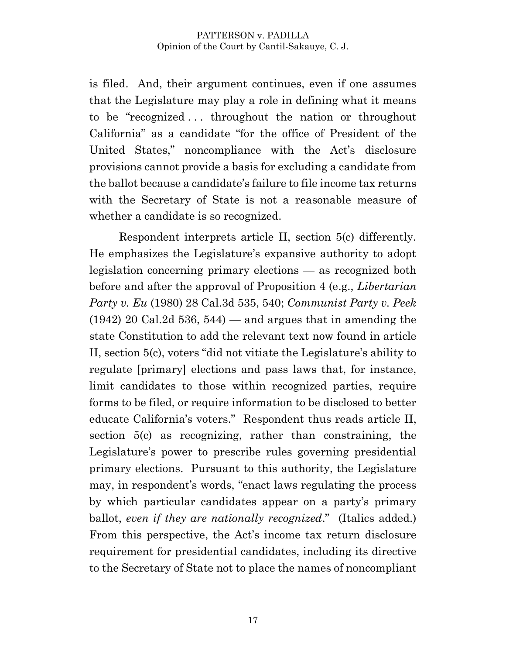is filed. And, their argument continues, even if one assumes that the Legislature may play a role in defining what it means to be "recognized . . . throughout the nation or throughout California" as a candidate "for the office of President of the United States," noncompliance with the Act's disclosure provisions cannot provide a basis for excluding a candidate from the ballot because a candidate's failure to file income tax returns with the Secretary of State is not a reasonable measure of whether a candidate is so recognized.

Respondent interprets article II, section 5(c) differently. He emphasizes the Legislature's expansive authority to adopt legislation concerning primary elections — as recognized both before and after the approval of Proposition 4 (e.g., *Libertarian Party v. Eu* (1980) 28 Cal.3d 535, 540; *Communist Party v. Peek*  $(1942)$  20 Cal.2d 536, 544) — and argues that in amending the state Constitution to add the relevant text now found in article II, section 5(c), voters "did not vitiate the Legislature's ability to regulate [primary] elections and pass laws that, for instance, limit candidates to those within recognized parties, require forms to be filed, or require information to be disclosed to better educate California's voters." Respondent thus reads article II, section 5(c) as recognizing, rather than constraining, the Legislature's power to prescribe rules governing presidential primary elections. Pursuant to this authority, the Legislature may, in respondent's words, "enact laws regulating the process by which particular candidates appear on a party's primary ballot, *even if they are nationally recognized*." (Italics added.) From this perspective, the Act's income tax return disclosure requirement for presidential candidates, including its directive to the Secretary of State not to place the names of noncompliant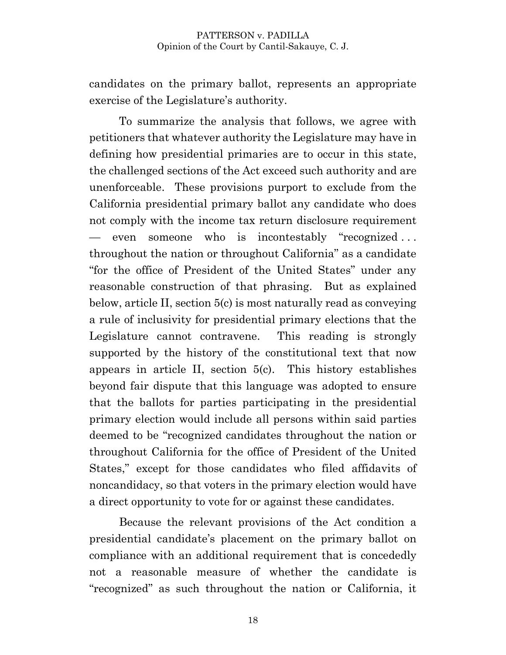candidates on the primary ballot, represents an appropriate exercise of the Legislature's authority.

To summarize the analysis that follows, we agree with petitioners that whatever authority the Legislature may have in defining how presidential primaries are to occur in this state, the challenged sections of the Act exceed such authority and are unenforceable. These provisions purport to exclude from the California presidential primary ballot any candidate who does not comply with the income tax return disclosure requirement — even someone who is incontestably "recognized . . . throughout the nation or throughout California" as a candidate "for the office of President of the United States" under any reasonable construction of that phrasing. But as explained below, article II, section 5(c) is most naturally read as conveying a rule of inclusivity for presidential primary elections that the Legislature cannot contravene. This reading is strongly supported by the history of the constitutional text that now appears in article II, section 5(c). This history establishes beyond fair dispute that this language was adopted to ensure that the ballots for parties participating in the presidential primary election would include all persons within said parties deemed to be "recognized candidates throughout the nation or throughout California for the office of President of the United States," except for those candidates who filed affidavits of noncandidacy, so that voters in the primary election would have a direct opportunity to vote for or against these candidates.

Because the relevant provisions of the Act condition a presidential candidate's placement on the primary ballot on compliance with an additional requirement that is concededly not a reasonable measure of whether the candidate is "recognized" as such throughout the nation or California, it

18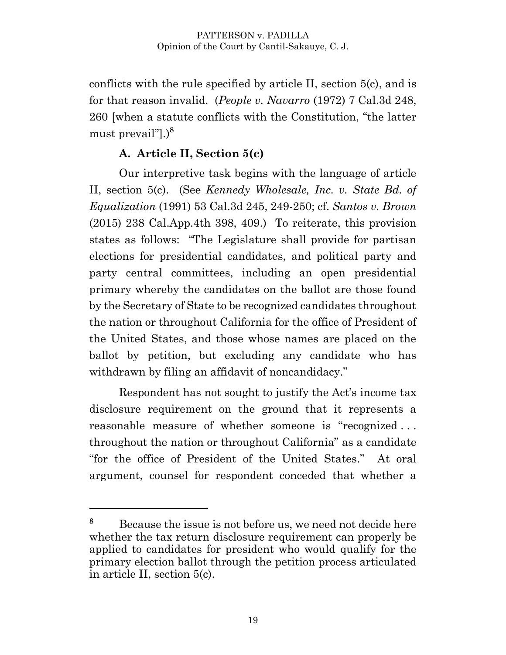conflicts with the rule specified by article II, section 5(c), and is for that reason invalid. (*People v. Navarro* (1972) 7 Cal.3d 248, 260 [when a statute conflicts with the Constitution, "the latter must prevail"].) **8**

### **A. Article II, Section 5(c)**

Our interpretive task begins with the language of article II, section 5(c). (See *Kennedy Wholesale, Inc. v. State Bd. of Equalization* (1991) 53 Cal.3d 245, 249-250; cf. *Santos v. Brown* (2015) 238 Cal.App.4th 398, 409.) To reiterate, this provision states as follows: "The Legislature shall provide for partisan elections for presidential candidates, and political party and party central committees, including an open presidential primary whereby the candidates on the ballot are those found by the Secretary of State to be recognized candidates throughout the nation or throughout California for the office of President of the United States, and those whose names are placed on the ballot by petition, but excluding any candidate who has withdrawn by filing an affidavit of noncandidacy."

Respondent has not sought to justify the Act's income tax disclosure requirement on the ground that it represents a reasonable measure of whether someone is "recognized . . . throughout the nation or throughout California" as a candidate "for the office of President of the United States." At oral argument, counsel for respondent conceded that whether a

**<sup>8</sup>** Because the issue is not before us, we need not decide here whether the tax return disclosure requirement can properly be applied to candidates for president who would qualify for the primary election ballot through the petition process articulated in article II, section 5(c).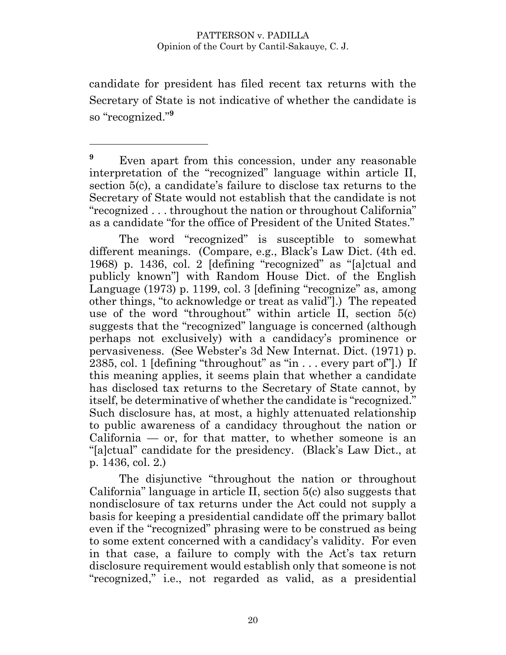candidate for president has filed recent tax returns with the Secretary of State is not indicative of whether the candidate is so "recognized." **9**

<sup>9</sup> Even apart from this concession, under any reasonable interpretation of the "recognized" language within article II, section 5(c), a candidate's failure to disclose tax returns to the Secretary of State would not establish that the candidate is not "recognized . . . throughout the nation or throughout California" as a candidate "for the office of President of the United States."

The word "recognized" is susceptible to somewhat different meanings. (Compare, e.g., Black's Law Dict. (4th ed. 1968) p. 1436, col. 2 [defining "recognized" as "[a]ctual and publicly known"] with Random House Dict. of the English Language (1973) p. 1199, col. 3 [defining "recognize" as, among other things, "to acknowledge or treat as valid"].) The repeated use of the word "throughout" within article II, section 5(c) suggests that the "recognized" language is concerned (although perhaps not exclusively) with a candidacy's prominence or pervasiveness. (See Webster's 3d New Internat. Dict. (1971) p. 2385, col. 1 [defining "throughout" as "in . . . every part of"].) If this meaning applies, it seems plain that whether a candidate has disclosed tax returns to the Secretary of State cannot, by itself, be determinative of whether the candidate is "recognized." Such disclosure has, at most, a highly attenuated relationship to public awareness of a candidacy throughout the nation or  $California$  — or, for that matter, to whether someone is an "[a]ctual" candidate for the presidency. (Black's Law Dict., at p. 1436, col. 2.)

The disjunctive "throughout the nation or throughout California" language in article II, section 5(c) also suggests that nondisclosure of tax returns under the Act could not supply a basis for keeping a presidential candidate off the primary ballot even if the "recognized" phrasing were to be construed as being to some extent concerned with a candidacy's validity. For even in that case, a failure to comply with the Act's tax return disclosure requirement would establish only that someone is not "recognized," i.e., not regarded as valid, as a presidential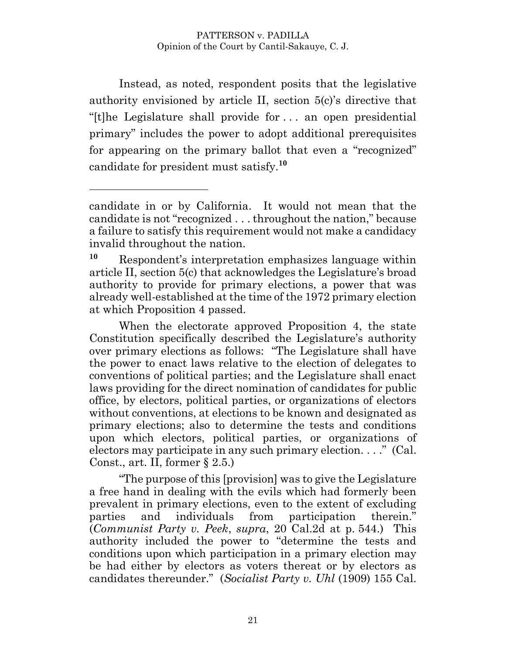Instead, as noted, respondent posits that the legislative authority envisioned by article II, section 5(c)'s directive that "[t]he Legislature shall provide for . . . an open presidential primary" includes the power to adopt additional prerequisites for appearing on the primary ballot that even a "recognized" candidate for president must satisfy. **10**

 $\overline{a}$ 

When the electorate approved Proposition 4, the state Constitution specifically described the Legislature's authority over primary elections as follows: "The Legislature shall have the power to enact laws relative to the election of delegates to conventions of political parties; and the Legislature shall enact laws providing for the direct nomination of candidates for public office, by electors, political parties, or organizations of electors without conventions, at elections to be known and designated as primary elections; also to determine the tests and conditions upon which electors, political parties, or organizations of electors may participate in any such primary election. . . ." (Cal. Const., art. II, former  $\S 2.5$ .)

"The purpose of this [provision] was to give the Legislature a free hand in dealing with the evils which had formerly been prevalent in primary elections, even to the extent of excluding parties and individuals from participation therein." (*Communist Party v. Peek*, *supra*, 20 Cal.2d at p. 544.) This authority included the power to "determine the tests and conditions upon which participation in a primary election may be had either by electors as voters thereat or by electors as candidates thereunder." (*Socialist Party v. Uhl* (1909) 155 Cal.

candidate in or by California. It would not mean that the candidate is not "recognized . . . throughout the nation," because a failure to satisfy this requirement would not make a candidacy invalid throughout the nation.

**<sup>10</sup>** Respondent's interpretation emphasizes language within article II, section 5(c) that acknowledges the Legislature's broad authority to provide for primary elections, a power that was already well-established at the time of the 1972 primary election at which Proposition 4 passed.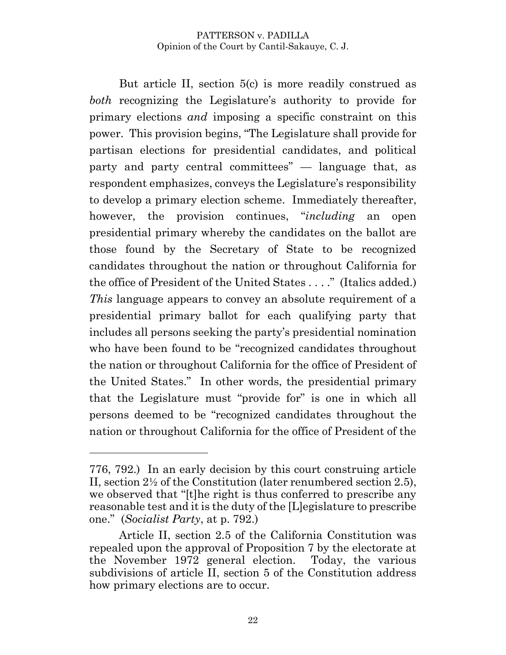But article II, section 5(c) is more readily construed as *both* recognizing the Legislature's authority to provide for primary elections *and* imposing a specific constraint on this power. This provision begins, "The Legislature shall provide for partisan elections for presidential candidates, and political party and party central committees" — language that, as respondent emphasizes, conveys the Legislature's responsibility to develop a primary election scheme. Immediately thereafter, however, the provision continues, "*including* an open presidential primary whereby the candidates on the ballot are those found by the Secretary of State to be recognized candidates throughout the nation or throughout California for the office of President of the United States . . . ." (Italics added.) *This* language appears to convey an absolute requirement of a presidential primary ballot for each qualifying party that includes all persons seeking the party's presidential nomination who have been found to be "recognized candidates throughout the nation or throughout California for the office of President of the United States." In other words, the presidential primary that the Legislature must "provide for" is one in which all persons deemed to be "recognized candidates throughout the nation or throughout California for the office of President of the

<sup>776, 792.)</sup> In an early decision by this court construing article II, section 2½ of the Constitution (later renumbered section 2.5), we observed that "[t]he right is thus conferred to prescribe any reasonable test and it is the duty of the [L]egislature to prescribe one." (*Socialist Party*, at p. 792.)

Article II, section 2.5 of the California Constitution was repealed upon the approval of Proposition 7 by the electorate at the November 1972 general election. Today, the various subdivisions of article II, section 5 of the Constitution address how primary elections are to occur.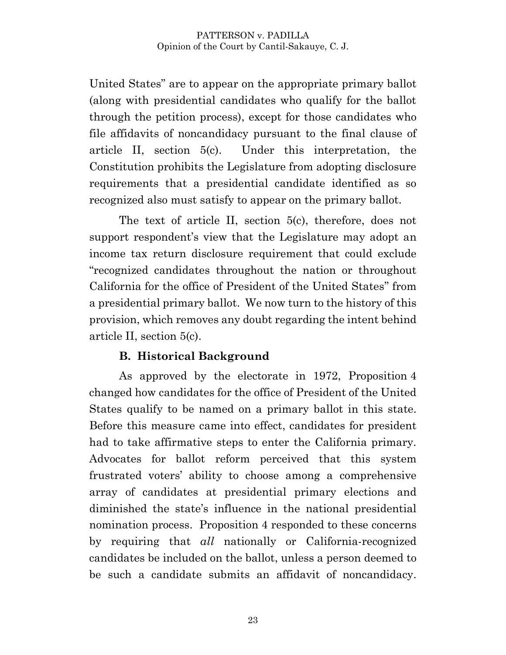United States" are to appear on the appropriate primary ballot (along with presidential candidates who qualify for the ballot through the petition process), except for those candidates who file affidavits of noncandidacy pursuant to the final clause of article II, section 5(c). Under this interpretation, the Constitution prohibits the Legislature from adopting disclosure requirements that a presidential candidate identified as so recognized also must satisfy to appear on the primary ballot.

The text of article II, section 5(c), therefore, does not support respondent's view that the Legislature may adopt an income tax return disclosure requirement that could exclude "recognized candidates throughout the nation or throughout California for the office of President of the United States" from a presidential primary ballot. We now turn to the history of this provision, which removes any doubt regarding the intent behind article II, section 5(c).

### **B. Historical Background**

As approved by the electorate in 1972, Proposition 4 changed how candidates for the office of President of the United States qualify to be named on a primary ballot in this state. Before this measure came into effect, candidates for president had to take affirmative steps to enter the California primary. Advocates for ballot reform perceived that this system frustrated voters' ability to choose among a comprehensive array of candidates at presidential primary elections and diminished the state's influence in the national presidential nomination process. Proposition 4 responded to these concerns by requiring that *all* nationally or California-recognized candidates be included on the ballot, unless a person deemed to be such a candidate submits an affidavit of noncandidacy.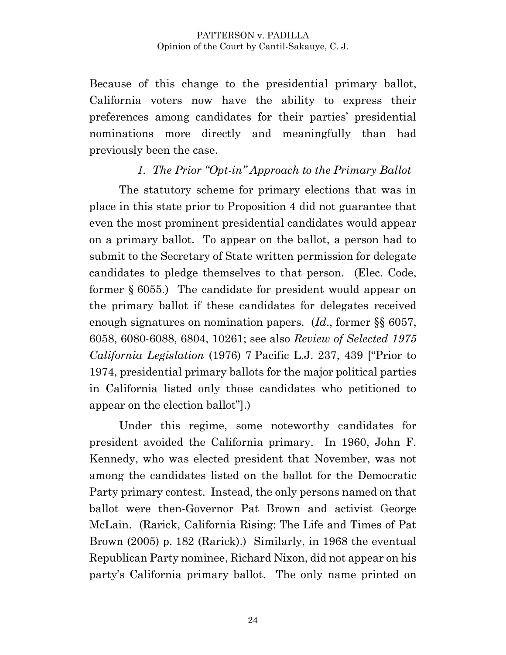Because of this change to the presidential primary ballot, California voters now have the ability to express their preferences among candidates for their parties' presidential nominations more directly and meaningfully than had previously been the case.

### *1. The Prior "Opt-in" Approach to the Primary Ballot*

The statutory scheme for primary elections that was in place in this state prior to Proposition 4 did not guarantee that even the most prominent presidential candidates would appear on a primary ballot. To appear on the ballot, a person had to submit to the Secretary of State written permission for delegate candidates to pledge themselves to that person. (Elec. Code, former § 6055.) The candidate for president would appear on the primary ballot if these candidates for delegates received enough signatures on nomination papers. (*Id*., former §§ 6057, 6058, 6080-6088, 6804, 10261; see also *Review of Selected 1975 California Legislation* (1976) 7 Pacific L.J. 237, 439 ["Prior to 1974, presidential primary ballots for the major political parties in California listed only those candidates who petitioned to appear on the election ballot"].)

Under this regime, some noteworthy candidates for president avoided the California primary. In 1960, John F. Kennedy, who was elected president that November, was not among the candidates listed on the ballot for the Democratic Party primary contest. Instead, the only persons named on that ballot were then-Governor Pat Brown and activist George McLain. (Rarick, California Rising: The Life and Times of Pat Brown (2005) p. 182 (Rarick).) Similarly, in 1968 the eventual Republican Party nominee, Richard Nixon, did not appear on his party's California primary ballot. The only name printed on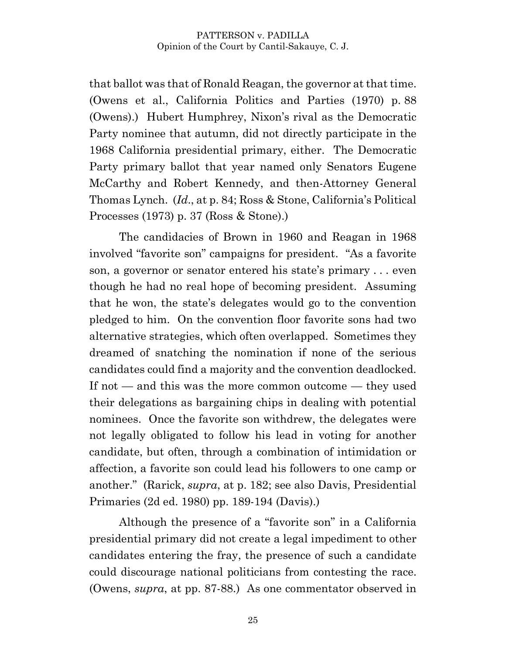that ballot was that of Ronald Reagan, the governor at that time. (Owens et al., California Politics and Parties (1970) p. 88 (Owens).) Hubert Humphrey, Nixon's rival as the Democratic Party nominee that autumn, did not directly participate in the 1968 California presidential primary, either. The Democratic Party primary ballot that year named only Senators Eugene McCarthy and Robert Kennedy, and then-Attorney General Thomas Lynch. (*Id*., at p. 84; Ross & Stone, California's Political Processes (1973) p. 37 (Ross & Stone).)

The candidacies of Brown in 1960 and Reagan in 1968 involved "favorite son" campaigns for president. "As a favorite son, a governor or senator entered his state's primary . . . even though he had no real hope of becoming president. Assuming that he won, the state's delegates would go to the convention pledged to him. On the convention floor favorite sons had two alternative strategies, which often overlapped. Sometimes they dreamed of snatching the nomination if none of the serious candidates could find a majority and the convention deadlocked. If not — and this was the more common outcome — they used their delegations as bargaining chips in dealing with potential nominees. Once the favorite son withdrew, the delegates were not legally obligated to follow his lead in voting for another candidate, but often, through a combination of intimidation or affection, a favorite son could lead his followers to one camp or another." (Rarick, *supra*, at p. 182; see also Davis, Presidential Primaries (2d ed. 1980) pp. 189-194 (Davis).)

Although the presence of a "favorite son" in a California presidential primary did not create a legal impediment to other candidates entering the fray, the presence of such a candidate could discourage national politicians from contesting the race. (Owens, *supra*, at pp. 87-88.) As one commentator observed in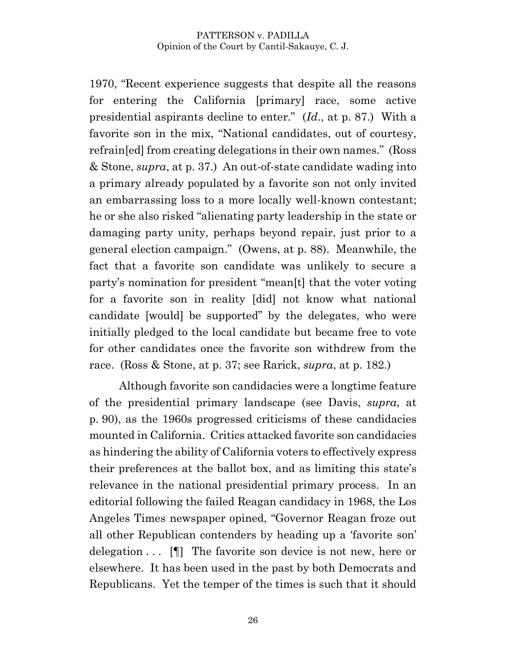1970, "Recent experience suggests that despite all the reasons for entering the California [primary] race, some active presidential aspirants decline to enter." (*Id*., at p. 87.) With a favorite son in the mix, "National candidates, out of courtesy, refrain[ed] from creating delegations in their own names." (Ross & Stone, *supra*, at p. 37.) An out-of-state candidate wading into a primary already populated by a favorite son not only invited an embarrassing loss to a more locally well-known contestant; he or she also risked "alienating party leadership in the state or damaging party unity, perhaps beyond repair, just prior to a general election campaign." (Owens, at p. 88). Meanwhile, the fact that a favorite son candidate was unlikely to secure a party's nomination for president "mean[t] that the voter voting for a favorite son in reality [did] not know what national candidate [would] be supported" by the delegates, who were initially pledged to the local candidate but became free to vote for other candidates once the favorite son withdrew from the race. (Ross & Stone, at p. 37; see Rarick, *supra*, at p. 182.)

Although favorite son candidacies were a longtime feature of the presidential primary landscape (see Davis, *supra*, at p. 90), as the 1960s progressed criticisms of these candidacies mounted in California. Critics attacked favorite son candidacies as hindering the ability of California voters to effectively express their preferences at the ballot box, and as limiting this state's relevance in the national presidential primary process. In an editorial following the failed Reagan candidacy in 1968, the Los Angeles Times newspaper opined, "Governor Reagan froze out all other Republican contenders by heading up a 'favorite son' delegation . . . [¶] The favorite son device is not new, here or elsewhere. It has been used in the past by both Democrats and Republicans. Yet the temper of the times is such that it should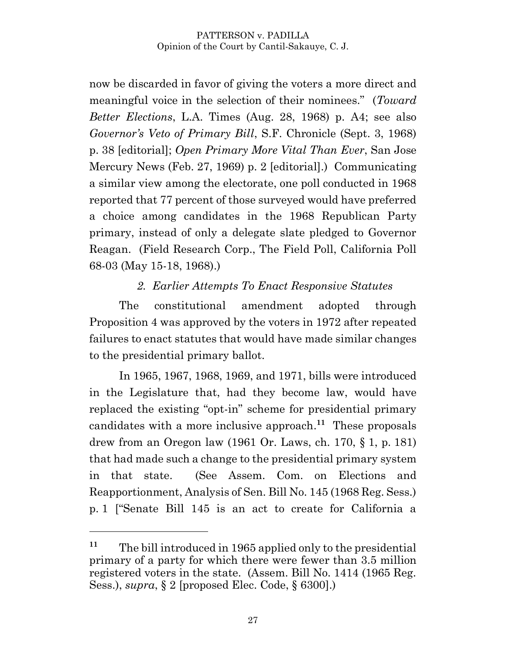now be discarded in favor of giving the voters a more direct and meaningful voice in the selection of their nominees." (*Toward Better Elections*, L.A. Times (Aug. 28, 1968) p. A4; see also *Governor's Veto of Primary Bill*, S.F. Chronicle (Sept. 3, 1968) p. 38 [editorial]; *Open Primary More Vital Than Ever*, San Jose Mercury News (Feb. 27, 1969) p. 2 [editorial].) Communicating a similar view among the electorate, one poll conducted in 1968 reported that 77 percent of those surveyed would have preferred a choice among candidates in the 1968 Republican Party primary, instead of only a delegate slate pledged to Governor Reagan. (Field Research Corp., The Field Poll, California Poll 68-03 (May 15-18, 1968).)

## *2. Earlier Attempts To Enact Responsive Statutes*

The constitutional amendment adopted through Proposition 4 was approved by the voters in 1972 after repeated failures to enact statutes that would have made similar changes to the presidential primary ballot.

In 1965, 1967, 1968, 1969, and 1971, bills were introduced in the Legislature that, had they become law, would have replaced the existing "opt-in" scheme for presidential primary candidates with a more inclusive approach. **11** These proposals drew from an Oregon law (1961 Or. Laws, ch. 170, § 1, p. 181) that had made such a change to the presidential primary system in that state. (See Assem. Com. on Elections and Reapportionment, Analysis of Sen. Bill No. 145 (1968 Reg. Sess.) p. 1 ["Senate Bill 145 is an act to create for California a

**<sup>11</sup>** The bill introduced in 1965 applied only to the presidential primary of a party for which there were fewer than 3.5 million registered voters in the state. (Assem. Bill No. 1414 (1965 Reg. Sess.), *supra*, § 2 [proposed Elec. Code, § 6300].)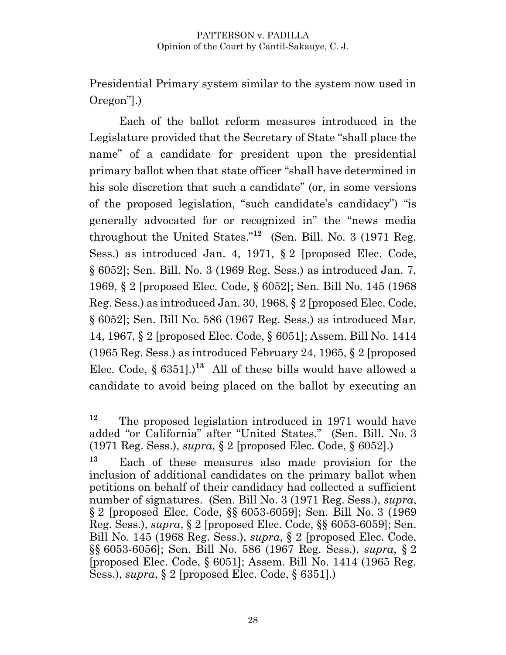Presidential Primary system similar to the system now used in Oregon"].)

Each of the ballot reform measures introduced in the Legislature provided that the Secretary of State "shall place the name" of a candidate for president upon the presidential primary ballot when that state officer "shall have determined in his sole discretion that such a candidate" (or, in some versions of the proposed legislation, "such candidate's candidacy") "is generally advocated for or recognized in" the "news media throughout the United States."**<sup>12</sup>** (Sen. Bill. No. 3 (1971 Reg. Sess.) as introduced Jan. 4, 1971, § 2 [proposed Elec. Code, § 6052]; Sen. Bill. No. 3 (1969 Reg. Sess.) as introduced Jan. 7, 1969, § 2 [proposed Elec. Code, § 6052]; Sen. Bill No. 145 (1968 Reg. Sess.) as introduced Jan. 30, 1968, § 2 [proposed Elec. Code, § 6052]; Sen. Bill No. 586 (1967 Reg. Sess.) as introduced Mar. 14, 1967, § 2 [proposed Elec. Code, § 6051]; Assem. Bill No. 1414 (1965 Reg. Sess.) as introduced February 24, 1965, § 2 [proposed Elec. Code,  $\S 6351$ .<sup>13</sup> All of these bills would have allowed a candidate to avoid being placed on the ballot by executing an

**<sup>12</sup>** The proposed legislation introduced in 1971 would have added "or California" after "United States." (Sen. Bill. No. 3 (1971 Reg. Sess.), *supra*, § 2 [proposed Elec. Code, § 6052].)

**<sup>13</sup>** Each of these measures also made provision for the inclusion of additional candidates on the primary ballot when petitions on behalf of their candidacy had collected a sufficient number of signatures. (Sen. Bill No. 3 (1971 Reg. Sess.), *supra*, § 2 [proposed Elec. Code, §§ 6053-6059]; Sen. Bill No. 3 (1969 Reg. Sess.), *supra*, § 2 [proposed Elec. Code, §§ 6053-6059]; Sen. Bill No. 145 (1968 Reg. Sess.), *supra*, § 2 [proposed Elec. Code, §§ 6053-6056]; Sen. Bill No. 586 (1967 Reg. Sess.), *supra*, § 2 [proposed Elec. Code, § 6051]; Assem. Bill No. 1414 (1965 Reg. Sess.), *supra*, § 2 [proposed Elec. Code, § 6351].)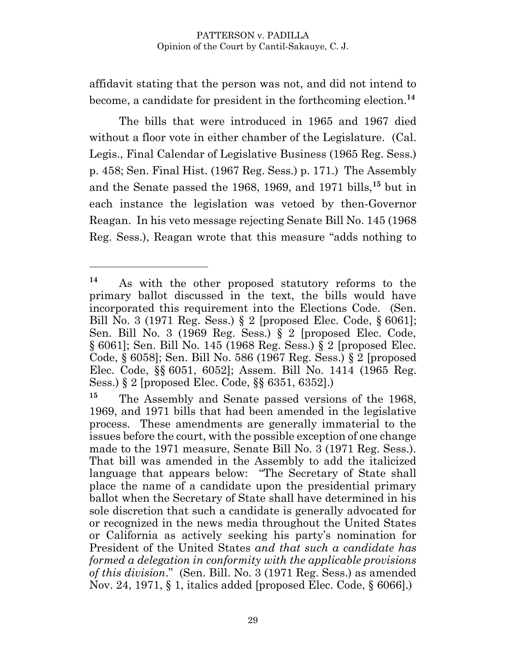affidavit stating that the person was not, and did not intend to become, a candidate for president in the forthcoming election.**<sup>14</sup>**

The bills that were introduced in 1965 and 1967 died without a floor vote in either chamber of the Legislature. (Cal. Legis., Final Calendar of Legislative Business (1965 Reg. Sess.) p. 458; Sen. Final Hist. (1967 Reg. Sess.) p. 171.) The Assembly and the Senate passed the 1968, 1969, and 1971 bills,**<sup>15</sup>** but in each instance the legislation was vetoed by then-Governor Reagan. In his veto message rejecting Senate Bill No. 145 (1968 Reg. Sess.), Reagan wrote that this measure "adds nothing to

**<sup>14</sup>** As with the other proposed statutory reforms to the primary ballot discussed in the text, the bills would have incorporated this requirement into the Elections Code. (Sen. Bill No. 3 (1971 Reg. Sess.) § 2 [proposed Elec. Code, § 6061]; Sen. Bill No. 3 (1969 Reg. Sess.) § 2 [proposed Elec. Code, § 6061]; Sen. Bill No. 145 (1968 Reg. Sess.) § 2 [proposed Elec. Code, § 6058]; Sen. Bill No. 586 (1967 Reg. Sess.) § 2 [proposed Elec. Code, §§ 6051, 6052]; Assem. Bill No. 1414 (1965 Reg. Sess.) § 2 [proposed Elec. Code, §§ 6351, 6352].)

**<sup>15</sup>** The Assembly and Senate passed versions of the 1968, 1969, and 1971 bills that had been amended in the legislative process. These amendments are generally immaterial to the issues before the court, with the possible exception of one change made to the 1971 measure, Senate Bill No. 3 (1971 Reg. Sess.). That bill was amended in the Assembly to add the italicized language that appears below: "The Secretary of State shall place the name of a candidate upon the presidential primary ballot when the Secretary of State shall have determined in his sole discretion that such a candidate is generally advocated for or recognized in the news media throughout the United States or California as actively seeking his party's nomination for President of the United States *and that such a candidate has formed a delegation in conformity with the applicable provisions of this division*." (Sen. Bill. No. 3 (1971 Reg. Sess.) as amended Nov. 24, 1971, § 1, italics added [proposed Elec. Code, § 6066].)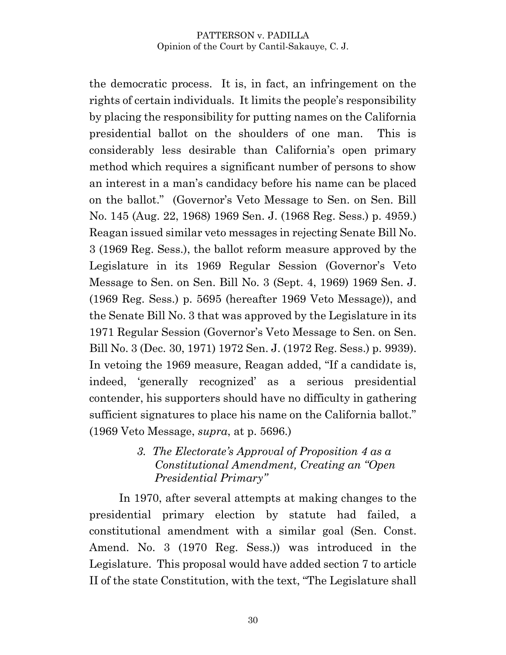the democratic process. It is, in fact, an infringement on the rights of certain individuals. It limits the people's responsibility by placing the responsibility for putting names on the California presidential ballot on the shoulders of one man. This is considerably less desirable than California's open primary method which requires a significant number of persons to show an interest in a man's candidacy before his name can be placed on the ballot." (Governor's Veto Message to Sen. on Sen. Bill No. 145 (Aug. 22, 1968) 1969 Sen. J. (1968 Reg. Sess.) p. 4959.) Reagan issued similar veto messages in rejecting Senate Bill No. 3 (1969 Reg. Sess.), the ballot reform measure approved by the Legislature in its 1969 Regular Session (Governor's Veto Message to Sen. on Sen. Bill No. 3 (Sept. 4, 1969) 1969 Sen. J. (1969 Reg. Sess.) p. 5695 (hereafter 1969 Veto Message)), and the Senate Bill No. 3 that was approved by the Legislature in its 1971 Regular Session (Governor's Veto Message to Sen. on Sen. Bill No. 3 (Dec. 30, 1971) 1972 Sen. J. (1972 Reg. Sess.) p. 9939). In vetoing the 1969 measure, Reagan added, "If a candidate is, indeed, 'generally recognized' as a serious presidential contender, his supporters should have no difficulty in gathering sufficient signatures to place his name on the California ballot." (1969 Veto Message, *supra*, at p. 5696.)

### *3. The Electorate's Approval of Proposition 4 as a Constitutional Amendment, Creating an "Open Presidential Primary"*

In 1970, after several attempts at making changes to the presidential primary election by statute had failed, a constitutional amendment with a similar goal (Sen. Const. Amend. No. 3 (1970 Reg. Sess.)) was introduced in the Legislature. This proposal would have added section 7 to article II of the state Constitution, with the text, "The Legislature shall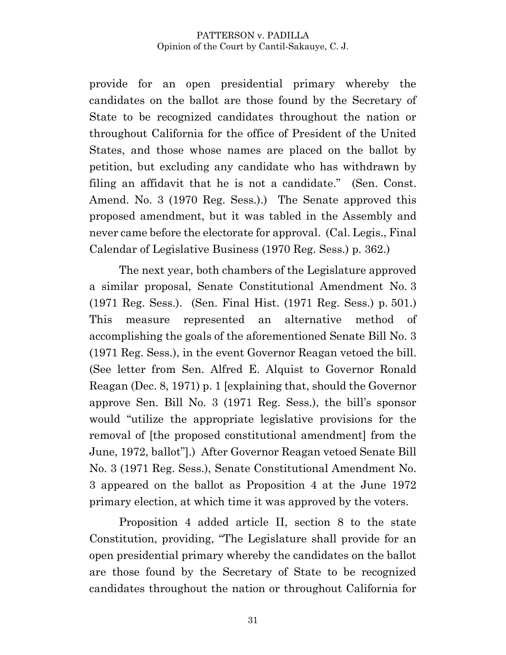provide for an open presidential primary whereby the candidates on the ballot are those found by the Secretary of State to be recognized candidates throughout the nation or throughout California for the office of President of the United States, and those whose names are placed on the ballot by petition, but excluding any candidate who has withdrawn by filing an affidavit that he is not a candidate." (Sen. Const. Amend. No. 3 (1970 Reg. Sess.).) The Senate approved this proposed amendment, but it was tabled in the Assembly and never came before the electorate for approval. (Cal. Legis., Final Calendar of Legislative Business (1970 Reg. Sess.) p. 362.)

The next year, both chambers of the Legislature approved a similar proposal, Senate Constitutional Amendment No. 3 (1971 Reg. Sess.). (Sen. Final Hist. (1971 Reg. Sess.) p. 501.) This measure represented an alternative method of accomplishing the goals of the aforementioned Senate Bill No. 3 (1971 Reg. Sess.), in the event Governor Reagan vetoed the bill. (See letter from Sen. Alfred E. Alquist to Governor Ronald Reagan (Dec. 8, 1971) p. 1 [explaining that, should the Governor approve Sen. Bill No. 3 (1971 Reg. Sess.), the bill's sponsor would "utilize the appropriate legislative provisions for the removal of [the proposed constitutional amendment] from the June, 1972, ballot"].) After Governor Reagan vetoed Senate Bill No. 3 (1971 Reg. Sess.), Senate Constitutional Amendment No. 3 appeared on the ballot as Proposition 4 at the June 1972 primary election, at which time it was approved by the voters.

Proposition 4 added article II, section 8 to the state Constitution, providing, "The Legislature shall provide for an open presidential primary whereby the candidates on the ballot are those found by the Secretary of State to be recognized candidates throughout the nation or throughout California for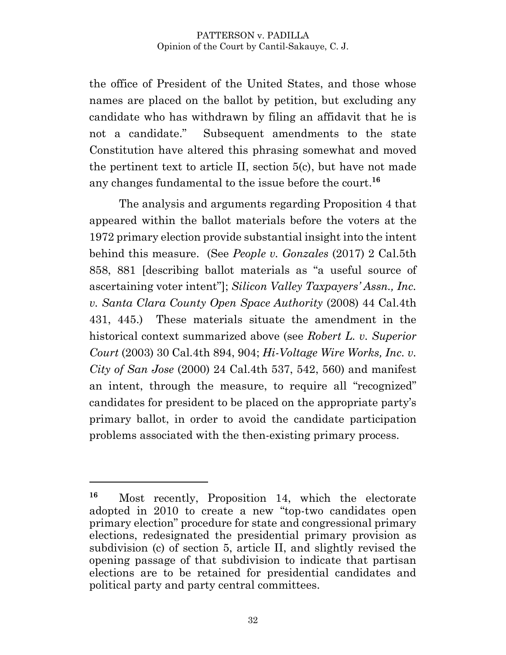the office of President of the United States, and those whose names are placed on the ballot by petition, but excluding any candidate who has withdrawn by filing an affidavit that he is not a candidate." Subsequent amendments to the state Constitution have altered this phrasing somewhat and moved the pertinent text to article II, section 5(c), but have not made any changes fundamental to the issue before the court. **16**

The analysis and arguments regarding Proposition 4 that appeared within the ballot materials before the voters at the 1972 primary election provide substantial insight into the intent behind this measure. (See *People v. Gonzales* (2017) 2 Cal.5th 858, 881 [describing ballot materials as "a useful source of ascertaining voter intent"]; *Silicon Valley Taxpayers' Assn., Inc. v. Santa Clara County Open Space Authority* (2008) 44 Cal.4th 431, 445.) These materials situate the amendment in the historical context summarized above (see *Robert L. v. Superior Court* (2003) 30 Cal.4th 894, 904; *Hi-Voltage Wire Works, Inc. v. City of San Jose* (2000) 24 Cal.4th 537, 542, 560) and manifest an intent, through the measure, to require all "recognized" candidates for president to be placed on the appropriate party's primary ballot, in order to avoid the candidate participation problems associated with the then-existing primary process.

**<sup>16</sup>** Most recently, Proposition 14, which the electorate adopted in 2010 to create a new "top-two candidates open primary election" procedure for state and congressional primary elections, redesignated the presidential primary provision as subdivision (c) of section 5, article II, and slightly revised the opening passage of that subdivision to indicate that partisan elections are to be retained for presidential candidates and political party and party central committees.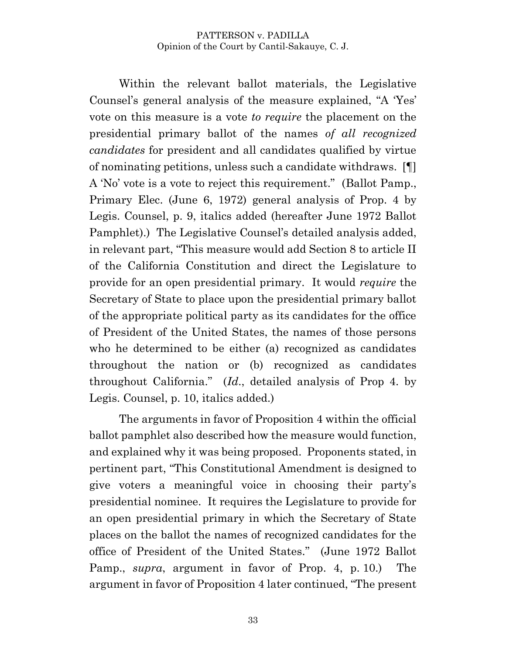Within the relevant ballot materials, the Legislative Counsel's general analysis of the measure explained, "A 'Yes' vote on this measure is a vote *to require* the placement on the presidential primary ballot of the names *of all recognized candidates* for president and all candidates qualified by virtue of nominating petitions, unless such a candidate withdraws. [¶] A 'No' vote is a vote to reject this requirement." (Ballot Pamp., Primary Elec. (June 6, 1972) general analysis of Prop. 4 by Legis. Counsel, p. 9, italics added (hereafter June 1972 Ballot Pamphlet).) The Legislative Counsel's detailed analysis added, in relevant part, "This measure would add Section 8 to article II of the California Constitution and direct the Legislature to provide for an open presidential primary. It would *require* the Secretary of State to place upon the presidential primary ballot of the appropriate political party as its candidates for the office of President of the United States, the names of those persons who he determined to be either (a) recognized as candidates throughout the nation or (b) recognized as candidates throughout California." (*Id*., detailed analysis of Prop 4. by Legis. Counsel, p. 10, italics added.)

The arguments in favor of Proposition 4 within the official ballot pamphlet also described how the measure would function, and explained why it was being proposed. Proponents stated, in pertinent part, "This Constitutional Amendment is designed to give voters a meaningful voice in choosing their party's presidential nominee. It requires the Legislature to provide for an open presidential primary in which the Secretary of State places on the ballot the names of recognized candidates for the office of President of the United States." (June 1972 Ballot Pamp., *supra*, argument in favor of Prop. 4, p. 10.) The argument in favor of Proposition 4 later continued, "The present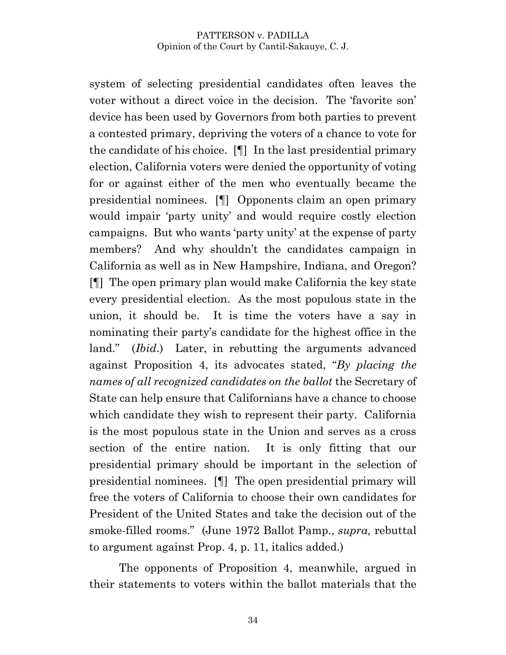system of selecting presidential candidates often leaves the voter without a direct voice in the decision. The 'favorite son' device has been used by Governors from both parties to prevent a contested primary, depriving the voters of a chance to vote for the candidate of his choice. [¶] In the last presidential primary election, California voters were denied the opportunity of voting for or against either of the men who eventually became the presidential nominees. [¶] Opponents claim an open primary would impair 'party unity' and would require costly election campaigns. But who wants 'party unity' at the expense of party members? And why shouldn't the candidates campaign in California as well as in New Hampshire, Indiana, and Oregon? [¶] The open primary plan would make California the key state every presidential election. As the most populous state in the union, it should be. It is time the voters have a say in nominating their party's candidate for the highest office in the land." (*Ibid*.) Later, in rebutting the arguments advanced against Proposition 4, its advocates stated, "*By placing the names of all recognized candidates on the ballot* the Secretary of State can help ensure that Californians have a chance to choose which candidate they wish to represent their party. California is the most populous state in the Union and serves as a cross section of the entire nation. It is only fitting that our presidential primary should be important in the selection of presidential nominees. [¶] The open presidential primary will free the voters of California to choose their own candidates for President of the United States and take the decision out of the smoke-filled rooms." (June 1972 Ballot Pamp., *supra,* rebuttal to argument against Prop. 4, p. 11, italics added.)

The opponents of Proposition 4, meanwhile, argued in their statements to voters within the ballot materials that the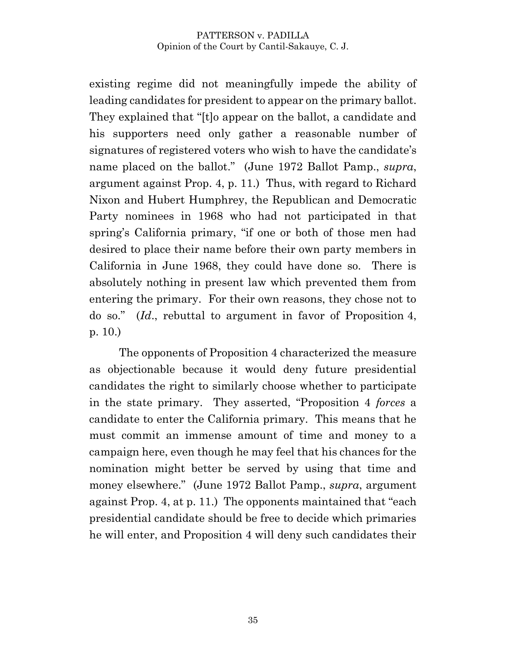existing regime did not meaningfully impede the ability of leading candidates for president to appear on the primary ballot. They explained that "[t]o appear on the ballot, a candidate and his supporters need only gather a reasonable number of signatures of registered voters who wish to have the candidate's name placed on the ballot." (June 1972 Ballot Pamp., *supra*, argument against Prop. 4, p. 11.) Thus, with regard to Richard Nixon and Hubert Humphrey, the Republican and Democratic Party nominees in 1968 who had not participated in that spring's California primary, "if one or both of those men had desired to place their name before their own party members in California in June 1968, they could have done so. There is absolutely nothing in present law which prevented them from entering the primary. For their own reasons, they chose not to do so." (*Id*., rebuttal to argument in favor of Proposition 4, p. 10.)

The opponents of Proposition 4 characterized the measure as objectionable because it would deny future presidential candidates the right to similarly choose whether to participate in the state primary. They asserted, "Proposition 4 *forces* a candidate to enter the California primary. This means that he must commit an immense amount of time and money to a campaign here, even though he may feel that his chances for the nomination might better be served by using that time and money elsewhere." (June 1972 Ballot Pamp., *supra*, argument against Prop. 4, at p. 11.) The opponents maintained that "each presidential candidate should be free to decide which primaries he will enter, and Proposition 4 will deny such candidates their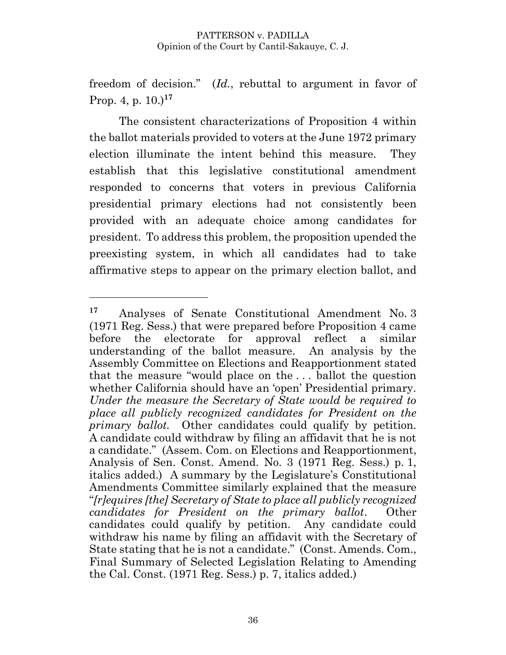freedom of decision." (*Id.*, rebuttal to argument in favor of Prop. 4, p. 10.)**<sup>17</sup>**

The consistent characterizations of Proposition 4 within the ballot materials provided to voters at the June 1972 primary election illuminate the intent behind this measure. They establish that this legislative constitutional amendment responded to concerns that voters in previous California presidential primary elections had not consistently been provided with an adequate choice among candidates for president. To address this problem, the proposition upended the preexisting system, in which all candidates had to take affirmative steps to appear on the primary election ballot, and

**<sup>17</sup>** Analyses of Senate Constitutional Amendment No. 3 (1971 Reg. Sess.) that were prepared before Proposition 4 came before the electorate for approval reflect a similar understanding of the ballot measure. An analysis by the Assembly Committee on Elections and Reapportionment stated that the measure "would place on the . . . ballot the question whether California should have an 'open' Presidential primary. *Under the measure the Secretary of State would be required to place all publicly recognized candidates for President on the primary ballot.* Other candidates could qualify by petition. A candidate could withdraw by filing an affidavit that he is not a candidate." (Assem. Com. on Elections and Reapportionment, Analysis of Sen. Const. Amend. No. 3 (1971 Reg. Sess.) p. 1, italics added.) A summary by the Legislature's Constitutional Amendments Committee similarly explained that the measure "*[r]equires [the] Secretary of State to place all publicly recognized candidates for President on the primary ballot*. Other candidates could qualify by petition. Any candidate could withdraw his name by filing an affidavit with the Secretary of State stating that he is not a candidate." (Const. Amends. Com., Final Summary of Selected Legislation Relating to Amending the Cal. Const. (1971 Reg. Sess.) p. 7, italics added.)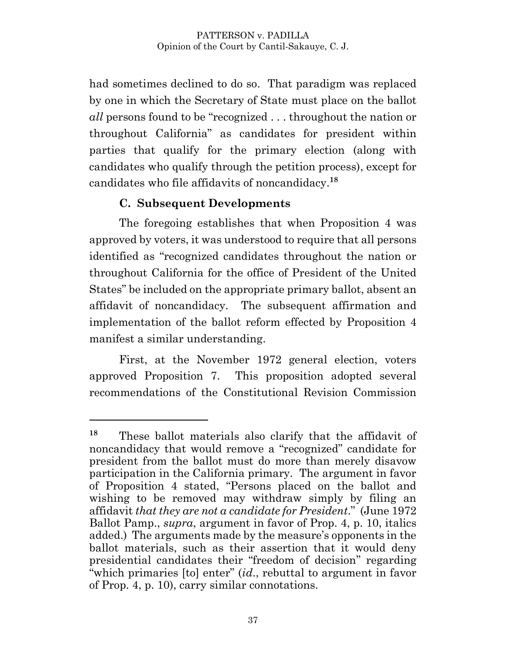had sometimes declined to do so. That paradigm was replaced by one in which the Secretary of State must place on the ballot *all* persons found to be "recognized . . . throughout the nation or throughout California" as candidates for president within parties that qualify for the primary election (along with candidates who qualify through the petition process), except for candidates who file affidavits of noncandidacy. **18**

## **C. Subsequent Developments**

 $\overline{a}$ 

The foregoing establishes that when Proposition 4 was approved by voters, it was understood to require that all persons identified as "recognized candidates throughout the nation or throughout California for the office of President of the United States" be included on the appropriate primary ballot, absent an affidavit of noncandidacy. The subsequent affirmation and implementation of the ballot reform effected by Proposition 4 manifest a similar understanding.

First, at the November 1972 general election, voters approved Proposition 7. This proposition adopted several recommendations of the Constitutional Revision Commission

**<sup>18</sup>** These ballot materials also clarify that the affidavit of noncandidacy that would remove a "recognized" candidate for president from the ballot must do more than merely disavow participation in the California primary. The argument in favor of Proposition 4 stated, "Persons placed on the ballot and wishing to be removed may withdraw simply by filing an affidavit *that they are not a candidate for President*." (June 1972 Ballot Pamp., *supra*, argument in favor of Prop. 4, p. 10, italics added.) The arguments made by the measure's opponents in the ballot materials, such as their assertion that it would deny presidential candidates their "freedom of decision" regarding "which primaries [to] enter" (*id*., rebuttal to argument in favor of Prop. 4, p. 10), carry similar connotations.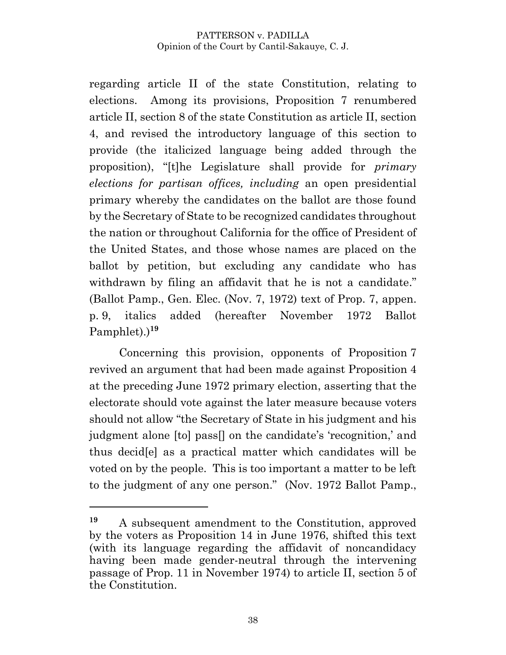regarding article II of the state Constitution, relating to elections. Among its provisions, Proposition 7 renumbered article II, section 8 of the state Constitution as article II, section 4, and revised the introductory language of this section to provide (the italicized language being added through the proposition), "[t]he Legislature shall provide for *primary elections for partisan offices, including* an open presidential primary whereby the candidates on the ballot are those found by the Secretary of State to be recognized candidates throughout the nation or throughout California for the office of President of the United States, and those whose names are placed on the ballot by petition, but excluding any candidate who has withdrawn by filing an affidavit that he is not a candidate." (Ballot Pamp., Gen. Elec. (Nov. 7, 1972) text of Prop. 7, appen. p. 9, italics added (hereafter November 1972 Ballot Pamphlet).) **19**

Concerning this provision, opponents of Proposition 7 revived an argument that had been made against Proposition 4 at the preceding June 1972 primary election, asserting that the electorate should vote against the later measure because voters should not allow "the Secretary of State in his judgment and his judgment alone [to] pass[] on the candidate's 'recognition,' and thus decid[e] as a practical matter which candidates will be voted on by the people. This is too important a matter to be left to the judgment of any one person." (Nov. 1972 Ballot Pamp.,

**<sup>19</sup>** A subsequent amendment to the Constitution, approved by the voters as Proposition 14 in June 1976, shifted this text (with its language regarding the affidavit of noncandidacy having been made gender-neutral through the intervening passage of Prop. 11 in November 1974) to article II, section 5 of the Constitution.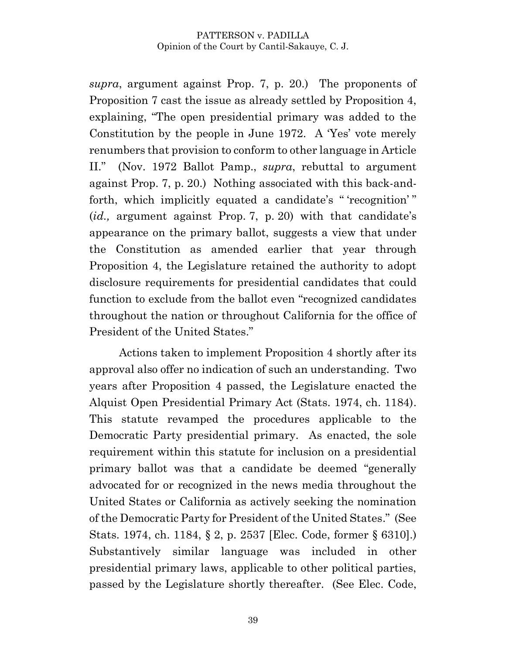*supra*, argument against Prop. 7, p. 20.) The proponents of Proposition 7 cast the issue as already settled by Proposition 4, explaining, "The open presidential primary was added to the Constitution by the people in June 1972. A 'Yes' vote merely renumbers that provision to conform to other language in Article II." (Nov. 1972 Ballot Pamp., *supra*, rebuttal to argument against Prop. 7, p. 20.) Nothing associated with this back-andforth, which implicitly equated a candidate's " 'recognition' " (*id.,* argument against Prop. 7, p. 20) with that candidate's appearance on the primary ballot, suggests a view that under the Constitution as amended earlier that year through Proposition 4, the Legislature retained the authority to adopt disclosure requirements for presidential candidates that could function to exclude from the ballot even "recognized candidates throughout the nation or throughout California for the office of President of the United States."

Actions taken to implement Proposition 4 shortly after its approval also offer no indication of such an understanding. Two years after Proposition 4 passed, the Legislature enacted the Alquist Open Presidential Primary Act (Stats. 1974, ch. 1184). This statute revamped the procedures applicable to the Democratic Party presidential primary. As enacted, the sole requirement within this statute for inclusion on a presidential primary ballot was that a candidate be deemed "generally advocated for or recognized in the news media throughout the United States or California as actively seeking the nomination of the Democratic Party for President of the United States." (See Stats. 1974, ch. 1184, § 2, p. 2537 [Elec. Code, former § 6310].) Substantively similar language was included in other presidential primary laws, applicable to other political parties, passed by the Legislature shortly thereafter. (See Elec. Code,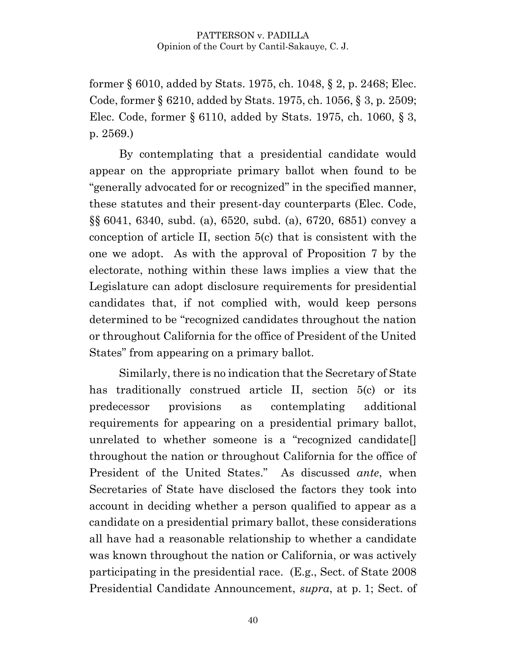former § 6010, added by Stats. 1975, ch. 1048, § 2, p. 2468; Elec. Code, former § 6210, added by Stats. 1975, ch. 1056, § 3, p. 2509; Elec. Code, former § 6110, added by Stats. 1975, ch. 1060, § 3, p. 2569.)

By contemplating that a presidential candidate would appear on the appropriate primary ballot when found to be "generally advocated for or recognized" in the specified manner, these statutes and their present-day counterparts (Elec. Code, §§ 6041, 6340, subd. (a), 6520, subd. (a), 6720, 6851) convey a conception of article II, section 5(c) that is consistent with the one we adopt. As with the approval of Proposition 7 by the electorate, nothing within these laws implies a view that the Legislature can adopt disclosure requirements for presidential candidates that, if not complied with, would keep persons determined to be "recognized candidates throughout the nation or throughout California for the office of President of the United States" from appearing on a primary ballot.

Similarly, there is no indication that the Secretary of State has traditionally construed article II, section 5(c) or its predecessor provisions as contemplating additional requirements for appearing on a presidential primary ballot, unrelated to whether someone is a "recognized candidate[] throughout the nation or throughout California for the office of President of the United States." As discussed *ante*, when Secretaries of State have disclosed the factors they took into account in deciding whether a person qualified to appear as a candidate on a presidential primary ballot, these considerations all have had a reasonable relationship to whether a candidate was known throughout the nation or California, or was actively participating in the presidential race. (E.g., Sect. of State 2008 Presidential Candidate Announcement, *supra*, at p. 1; Sect. of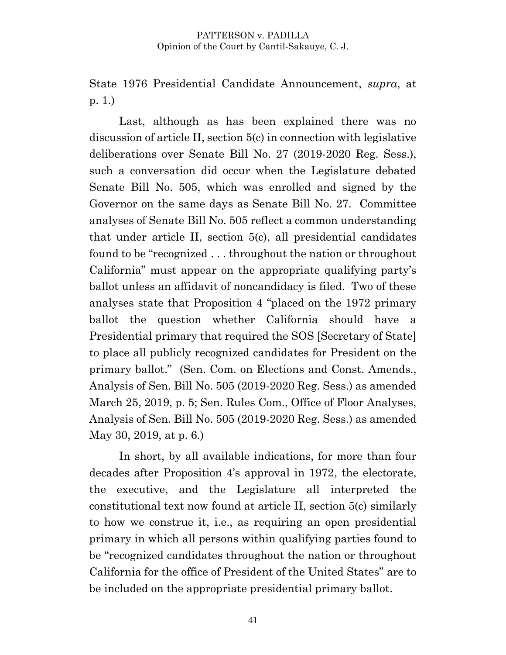State 1976 Presidential Candidate Announcement, *supra*, at p. 1.)

Last, although as has been explained there was no discussion of article II, section 5(c) in connection with legislative deliberations over Senate Bill No. 27 (2019-2020 Reg. Sess.), such a conversation did occur when the Legislature debated Senate Bill No. 505, which was enrolled and signed by the Governor on the same days as Senate Bill No. 27. Committee analyses of Senate Bill No. 505 reflect a common understanding that under article II, section 5(c), all presidential candidates found to be "recognized . . . throughout the nation or throughout California" must appear on the appropriate qualifying party's ballot unless an affidavit of noncandidacy is filed. Two of these analyses state that Proposition 4 "placed on the 1972 primary ballot the question whether California should have a Presidential primary that required the SOS [Secretary of State] to place all publicly recognized candidates for President on the primary ballot." (Sen. Com. on Elections and Const. Amends., Analysis of Sen. Bill No. 505 (2019-2020 Reg. Sess.) as amended March 25, 2019, p. 5; Sen. Rules Com., Office of Floor Analyses, Analysis of Sen. Bill No. 505 (2019-2020 Reg. Sess.) as amended May 30, 2019, at p. 6.)

In short, by all available indications, for more than four decades after Proposition 4's approval in 1972, the electorate, the executive, and the Legislature all interpreted the constitutional text now found at article II, section 5(c) similarly to how we construe it, i.e., as requiring an open presidential primary in which all persons within qualifying parties found to be "recognized candidates throughout the nation or throughout California for the office of President of the United States" are to be included on the appropriate presidential primary ballot.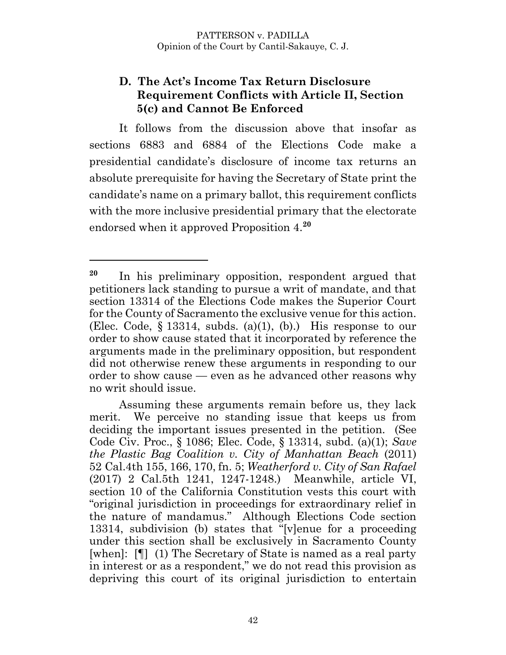### **D. The Act's Income Tax Return Disclosure Requirement Conflicts with Article II, Section 5(c) and Cannot Be Enforced**

It follows from the discussion above that insofar as sections 6883 and 6884 of the Elections Code make a presidential candidate's disclosure of income tax returns an absolute prerequisite for having the Secretary of State print the candidate's name on a primary ballot, this requirement conflicts with the more inclusive presidential primary that the electorate endorsed when it approved Proposition 4. **20**

**<sup>20</sup>** In his preliminary opposition, respondent argued that petitioners lack standing to pursue a writ of mandate, and that section 13314 of the Elections Code makes the Superior Court for the County of Sacramento the exclusive venue for this action. (Elec. Code,  $\S 13314$ , subds. (a)(1), (b).) His response to our order to show cause stated that it incorporated by reference the arguments made in the preliminary opposition, but respondent did not otherwise renew these arguments in responding to our order to show cause — even as he advanced other reasons why no writ should issue.

Assuming these arguments remain before us, they lack merit. We perceive no standing issue that keeps us from deciding the important issues presented in the petition. (See Code Civ. Proc., § 1086; Elec. Code, § 13314, subd. (a)(1); *Save the Plastic Bag Coalition v. City of Manhattan Beach* (2011) 52 Cal.4th 155, 166, 170, fn. 5; *Weatherford v. City of San Rafael* (2017) 2 Cal.5th 1241, 1247-1248.) Meanwhile, article VI, section 10 of the California Constitution vests this court with "original jurisdiction in proceedings for extraordinary relief in the nature of mandamus." Although Elections Code section 13314, subdivision (b) states that "[v]enue for a proceeding under this section shall be exclusively in Sacramento County [when]: [¶] (1) The Secretary of State is named as a real party in interest or as a respondent," we do not read this provision as depriving this court of its original jurisdiction to entertain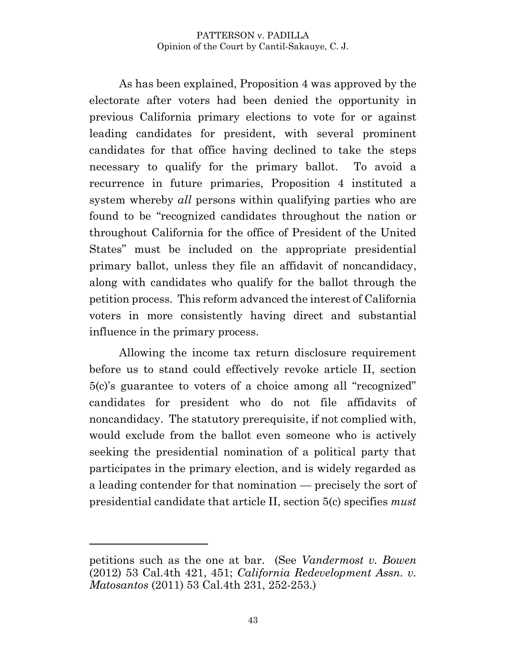As has been explained, Proposition 4 was approved by the electorate after voters had been denied the opportunity in previous California primary elections to vote for or against leading candidates for president, with several prominent candidates for that office having declined to take the steps necessary to qualify for the primary ballot. To avoid a recurrence in future primaries, Proposition 4 instituted a system whereby *all* persons within qualifying parties who are found to be "recognized candidates throughout the nation or throughout California for the office of President of the United States" must be included on the appropriate presidential primary ballot, unless they file an affidavit of noncandidacy, along with candidates who qualify for the ballot through the petition process. This reform advanced the interest of California voters in more consistently having direct and substantial influence in the primary process.

Allowing the income tax return disclosure requirement before us to stand could effectively revoke article II, section 5(c)'s guarantee to voters of a choice among all "recognized" candidates for president who do not file affidavits of noncandidacy. The statutory prerequisite, if not complied with, would exclude from the ballot even someone who is actively seeking the presidential nomination of a political party that participates in the primary election, and is widely regarded as a leading contender for that nomination — precisely the sort of presidential candidate that article II, section 5(c) specifies *must*

petitions such as the one at bar. (See *Vandermost v. Bowen* (2012) 53 Cal.4th 421, 451; *California Redevelopment Assn. v. Matosantos* (2011) 53 Cal.4th 231, 252-253.)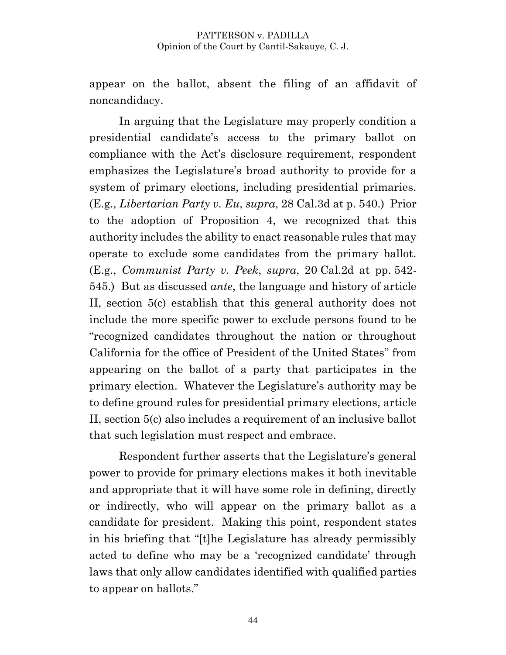appear on the ballot, absent the filing of an affidavit of noncandidacy.

In arguing that the Legislature may properly condition a presidential candidate's access to the primary ballot on compliance with the Act's disclosure requirement, respondent emphasizes the Legislature's broad authority to provide for a system of primary elections, including presidential primaries. (E.g., *Libertarian Party v. Eu*, *supra*, 28 Cal.3d at p. 540.) Prior to the adoption of Proposition 4, we recognized that this authority includes the ability to enact reasonable rules that may operate to exclude some candidates from the primary ballot. (E.g., *Communist Party v. Peek*, *supra*, 20 Cal.2d at pp. 542- 545.) But as discussed *ante*, the language and history of article II, section 5(c) establish that this general authority does not include the more specific power to exclude persons found to be "recognized candidates throughout the nation or throughout California for the office of President of the United States" from appearing on the ballot of a party that participates in the primary election. Whatever the Legislature's authority may be to define ground rules for presidential primary elections, article II, section 5(c) also includes a requirement of an inclusive ballot that such legislation must respect and embrace.

Respondent further asserts that the Legislature's general power to provide for primary elections makes it both inevitable and appropriate that it will have some role in defining, directly or indirectly, who will appear on the primary ballot as a candidate for president. Making this point, respondent states in his briefing that "[t]he Legislature has already permissibly acted to define who may be a 'recognized candidate' through laws that only allow candidates identified with qualified parties to appear on ballots."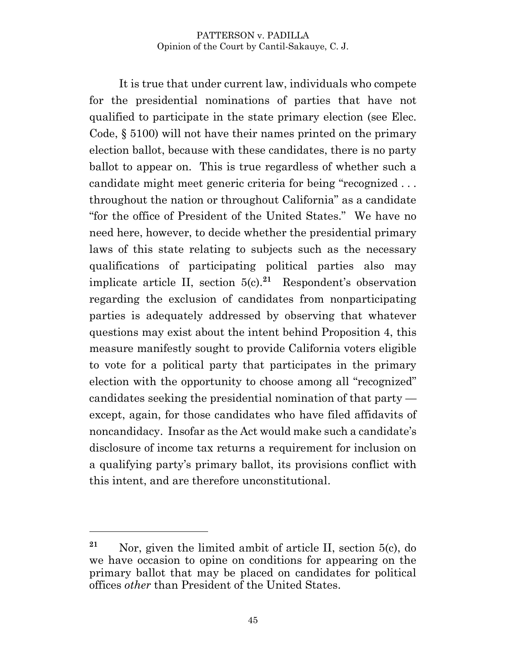It is true that under current law, individuals who compete for the presidential nominations of parties that have not qualified to participate in the state primary election (see Elec. Code, § 5100) will not have their names printed on the primary election ballot, because with these candidates, there is no party ballot to appear on. This is true regardless of whether such a candidate might meet generic criteria for being "recognized . . . throughout the nation or throughout California" as a candidate "for the office of President of the United States." We have no need here, however, to decide whether the presidential primary laws of this state relating to subjects such as the necessary qualifications of participating political parties also may implicate article II, section 5(c).**<sup>21</sup>** Respondent's observation regarding the exclusion of candidates from nonparticipating parties is adequately addressed by observing that whatever questions may exist about the intent behind Proposition 4, this measure manifestly sought to provide California voters eligible to vote for a political party that participates in the primary election with the opportunity to choose among all "recognized" candidates seeking the presidential nomination of that party except, again, for those candidates who have filed affidavits of noncandidacy. Insofar as the Act would make such a candidate's disclosure of income tax returns a requirement for inclusion on a qualifying party's primary ballot, its provisions conflict with this intent, and are therefore unconstitutional.

**<sup>21</sup>** Nor, given the limited ambit of article II, section 5(c), do we have occasion to opine on conditions for appearing on the primary ballot that may be placed on candidates for political offices *other* than President of the United States.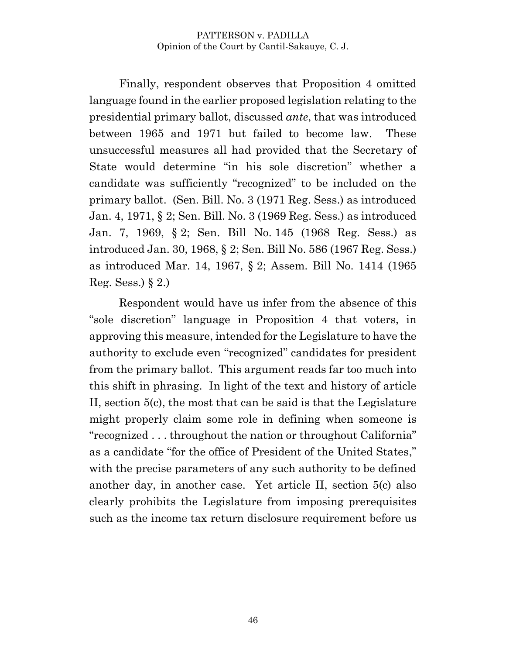Finally, respondent observes that Proposition 4 omitted language found in the earlier proposed legislation relating to the presidential primary ballot, discussed *ante*, that was introduced between 1965 and 1971 but failed to become law. These unsuccessful measures all had provided that the Secretary of State would determine "in his sole discretion" whether a candidate was sufficiently "recognized" to be included on the primary ballot. (Sen. Bill. No. 3 (1971 Reg. Sess.) as introduced Jan. 4, 1971, § 2; Sen. Bill. No. 3 (1969 Reg. Sess.) as introduced Jan. 7, 1969, § 2; Sen. Bill No. 145 (1968 Reg. Sess.) as introduced Jan. 30, 1968, § 2; Sen. Bill No. 586 (1967 Reg. Sess.) as introduced Mar. 14, 1967, § 2; Assem. Bill No. 1414 (1965 Reg. Sess.)  $\S$ 2.)

Respondent would have us infer from the absence of this "sole discretion" language in Proposition 4 that voters, in approving this measure, intended for the Legislature to have the authority to exclude even "recognized" candidates for president from the primary ballot. This argument reads far too much into this shift in phrasing. In light of the text and history of article II, section 5(c), the most that can be said is that the Legislature might properly claim some role in defining when someone is "recognized . . . throughout the nation or throughout California" as a candidate "for the office of President of the United States," with the precise parameters of any such authority to be defined another day, in another case. Yet article II, section 5(c) also clearly prohibits the Legislature from imposing prerequisites such as the income tax return disclosure requirement before us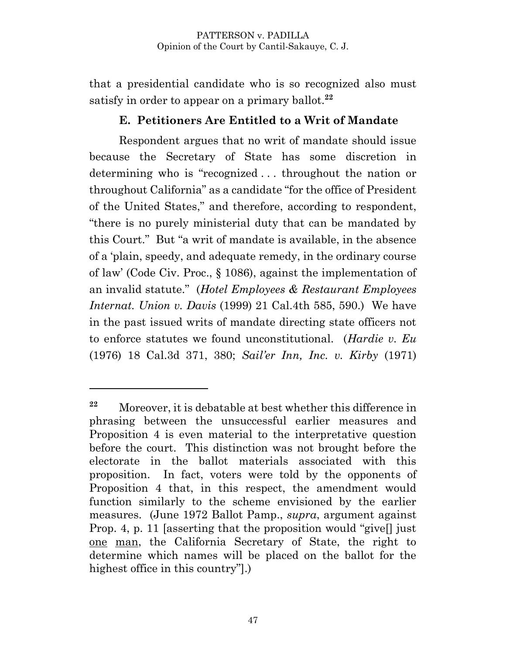that a presidential candidate who is so recognized also must satisfy in order to appear on a primary ballot. **22**

### **E. Petitioners Are Entitled to a Writ of Mandate**

Respondent argues that no writ of mandate should issue because the Secretary of State has some discretion in determining who is "recognized . . . throughout the nation or throughout California" as a candidate "for the office of President of the United States," and therefore, according to respondent, "there is no purely ministerial duty that can be mandated by this Court." But "a writ of mandate is available, in the absence of a 'plain, speedy, and adequate remedy, in the ordinary course of law' (Code Civ. Proc., § 1086), against the implementation of an invalid statute." (*Hotel Employees & Restaurant Employees Internat. Union v. Davis* (1999) 21 Cal.4th 585, 590.) We have in the past issued writs of mandate directing state officers not to enforce statutes we found unconstitutional. (*Hardie v. Eu* (1976) 18 Cal.3d 371, 380; *Sail'er Inn, Inc. v. Kirby* (1971)

**<sup>22</sup>** Moreover, it is debatable at best whether this difference in phrasing between the unsuccessful earlier measures and Proposition 4 is even material to the interpretative question before the court. This distinction was not brought before the electorate in the ballot materials associated with this proposition. In fact, voters were told by the opponents of Proposition 4 that, in this respect, the amendment would function similarly to the scheme envisioned by the earlier measures. (June 1972 Ballot Pamp., *supra*, argument against Prop. 4, p. 11 [asserting that the proposition would "give[] just one man, the California Secretary of State, the right to determine which names will be placed on the ballot for the highest office in this country"].)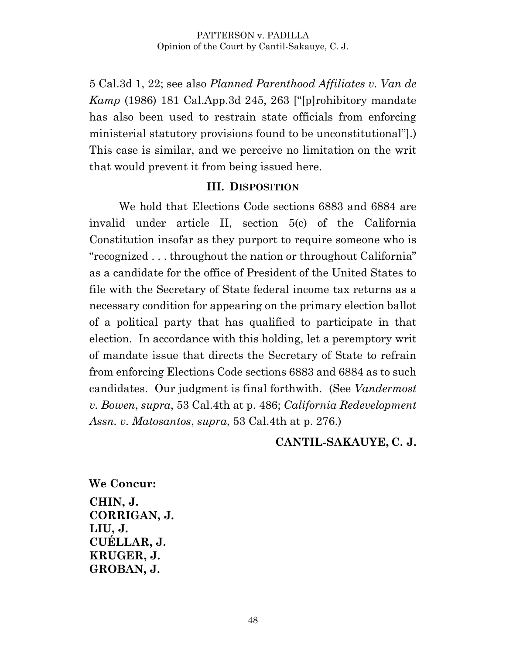5 Cal.3d 1, 22; see also *Planned Parenthood Affiliates v. Van de Kamp* (1986) 181 Cal.App.3d 245, 263 ["[p]rohibitory mandate has also been used to restrain state officials from enforcing ministerial statutory provisions found to be unconstitutional"].) This case is similar, and we perceive no limitation on the writ that would prevent it from being issued here.

### **III. DISPOSITION**

We hold that Elections Code sections 6883 and 6884 are invalid under article II, section 5(c) of the California Constitution insofar as they purport to require someone who is "recognized . . . throughout the nation or throughout California" as a candidate for the office of President of the United States to file with the Secretary of State federal income tax returns as a necessary condition for appearing on the primary election ballot of a political party that has qualified to participate in that election. In accordance with this holding, let a peremptory writ of mandate issue that directs the Secretary of State to refrain from enforcing Elections Code sections 6883 and 6884 as to such candidates. Our judgment is final forthwith. (See *Vandermost v. Bowen*, *supra*, 53 Cal.4th at p. 486; *California Redevelopment Assn. v. Matosantos*, *supra*, 53 Cal.4th at p. 276.)

### **CANTIL-SAKAUYE, C. J.**

**We Concur: CHIN, J. CORRIGAN, J. LIU, J. CUÉLLAR, J. KRUGER, J. GROBAN, J.**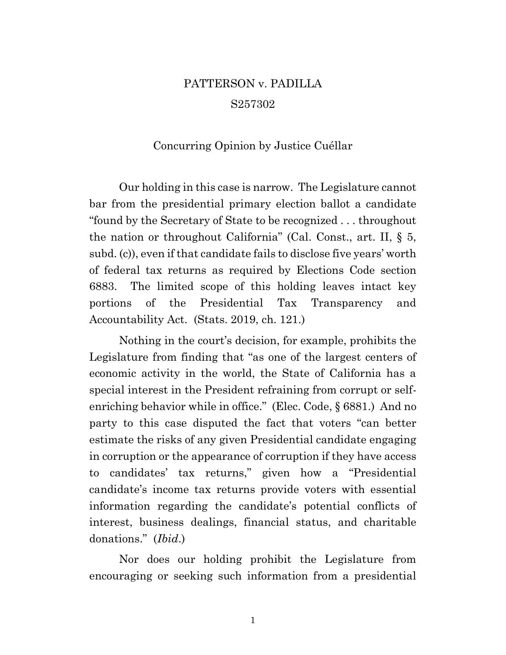# PATTERSON v. PADILLA S257302

### Concurring Opinion by Justice Cuéllar

Our holding in this case is narrow. The Legislature cannot bar from the presidential primary election ballot a candidate "found by the Secretary of State to be recognized . . . throughout the nation or throughout California" (Cal. Const., art. II, § 5, subd. (c)), even if that candidate fails to disclose five years' worth of federal tax returns as required by Elections Code section 6883. The limited scope of this holding leaves intact key portions of the Presidential Tax Transparency and Accountability Act. (Stats. 2019, ch. 121.)

Nothing in the court's decision, for example, prohibits the Legislature from finding that "as one of the largest centers of economic activity in the world, the State of California has a special interest in the President refraining from corrupt or selfenriching behavior while in office." (Elec. Code, § 6881.) And no party to this case disputed the fact that voters "can better estimate the risks of any given Presidential candidate engaging in corruption or the appearance of corruption if they have access to candidates' tax returns," given how a "Presidential candidate's income tax returns provide voters with essential information regarding the candidate's potential conflicts of interest, business dealings, financial status, and charitable donations." (*Ibid*.)

Nor does our holding prohibit the Legislature from encouraging or seeking such information from a presidential

1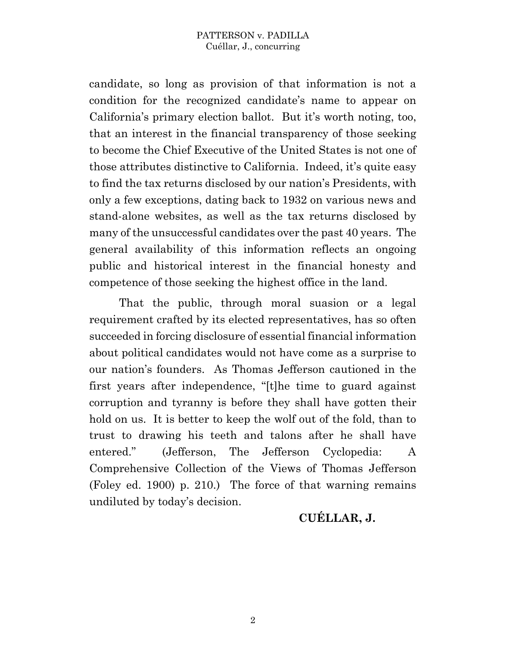candidate, so long as provision of that information is not a condition for the recognized candidate's name to appear on California's primary election ballot. But it's worth noting, too, that an interest in the financial transparency of those seeking to become the Chief Executive of the United States is not one of those attributes distinctive to California. Indeed, it's quite easy to find the tax returns disclosed by our nation's Presidents, with only a few exceptions, dating back to 1932 on various news and stand-alone websites, as well as the tax returns disclosed by many of the unsuccessful candidates over the past 40 years. The general availability of this information reflects an ongoing public and historical interest in the financial honesty and competence of those seeking the highest office in the land.

That the public, through moral suasion or a legal requirement crafted by its elected representatives, has so often succeeded in forcing disclosure of essential financial information about political candidates would not have come as a surprise to our nation's founders. As Thomas Jefferson cautioned in the first years after independence, "[t]he time to guard against corruption and tyranny is before they shall have gotten their hold on us. It is better to keep the wolf out of the fold, than to trust to drawing his teeth and talons after he shall have entered." (Jefferson, The Jefferson Cyclopedia: A Comprehensive Collection of the Views of Thomas Jefferson (Foley ed. 1900) p. 210.) The force of that warning remains undiluted by today's decision.

### **CUÉLLAR, J.**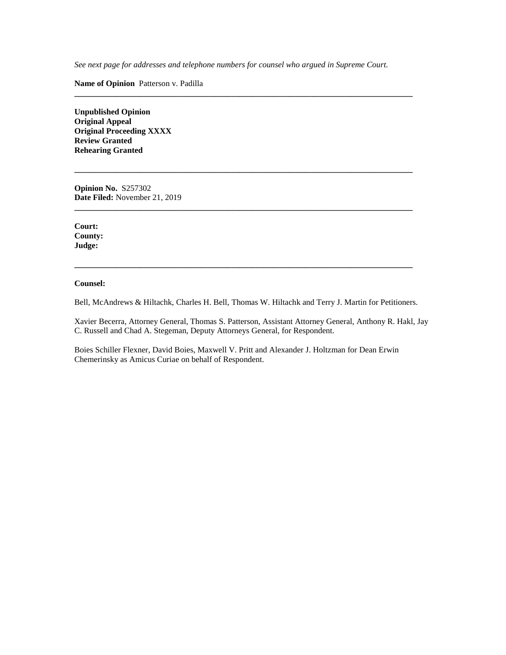*See next page for addresses and telephone numbers for counsel who argued in Supreme Court.*

**\_\_\_\_\_\_\_\_\_\_\_\_\_\_\_\_\_\_\_\_\_\_\_\_\_\_\_\_\_\_\_\_\_\_\_\_\_\_\_\_\_\_\_\_\_\_\_\_\_\_\_\_\_\_\_\_\_\_\_\_\_\_\_\_\_\_\_\_\_\_\_\_\_\_\_\_\_\_\_\_\_\_**

**\_\_\_\_\_\_\_\_\_\_\_\_\_\_\_\_\_\_\_\_\_\_\_\_\_\_\_\_\_\_\_\_\_\_\_\_\_\_\_\_\_\_\_\_\_\_\_\_\_\_\_\_\_\_\_\_\_\_\_\_\_\_\_\_\_\_\_\_\_\_\_\_\_\_\_\_\_\_\_\_\_\_**

**\_\_\_\_\_\_\_\_\_\_\_\_\_\_\_\_\_\_\_\_\_\_\_\_\_\_\_\_\_\_\_\_\_\_\_\_\_\_\_\_\_\_\_\_\_\_\_\_\_\_\_\_\_\_\_\_\_\_\_\_\_\_\_\_\_\_\_\_\_\_\_\_\_\_\_\_\_\_\_\_\_\_**

**Name of Opinion** Patterson v. Padilla

**Unpublished Opinion Original Appeal Original Proceeding XXXX Review Granted Rehearing Granted**

**Opinion No.** S257302 **Date Filed:** November 21, 2019

**Court: County: Judge:**

#### **Counsel:**

Bell, McAndrews & Hiltachk, Charles H. Bell, Thomas W. Hiltachk and Terry J. Martin for Petitioners.

**\_\_\_\_\_\_\_\_\_\_\_\_\_\_\_\_\_\_\_\_\_\_\_\_\_\_\_\_\_\_\_\_\_\_\_\_\_\_\_\_\_\_\_\_\_\_\_\_\_\_\_\_\_\_\_\_\_\_\_\_\_\_\_\_\_\_\_\_\_\_\_\_\_\_\_\_\_\_\_\_\_\_**

Xavier Becerra, Attorney General, Thomas S. Patterson, Assistant Attorney General, Anthony R. Hakl, Jay C. Russell and Chad A. Stegeman, Deputy Attorneys General, for Respondent.

Boies Schiller Flexner, David Boies, Maxwell V. Pritt and Alexander J. Holtzman for Dean Erwin Chemerinsky as Amicus Curiae on behalf of Respondent.